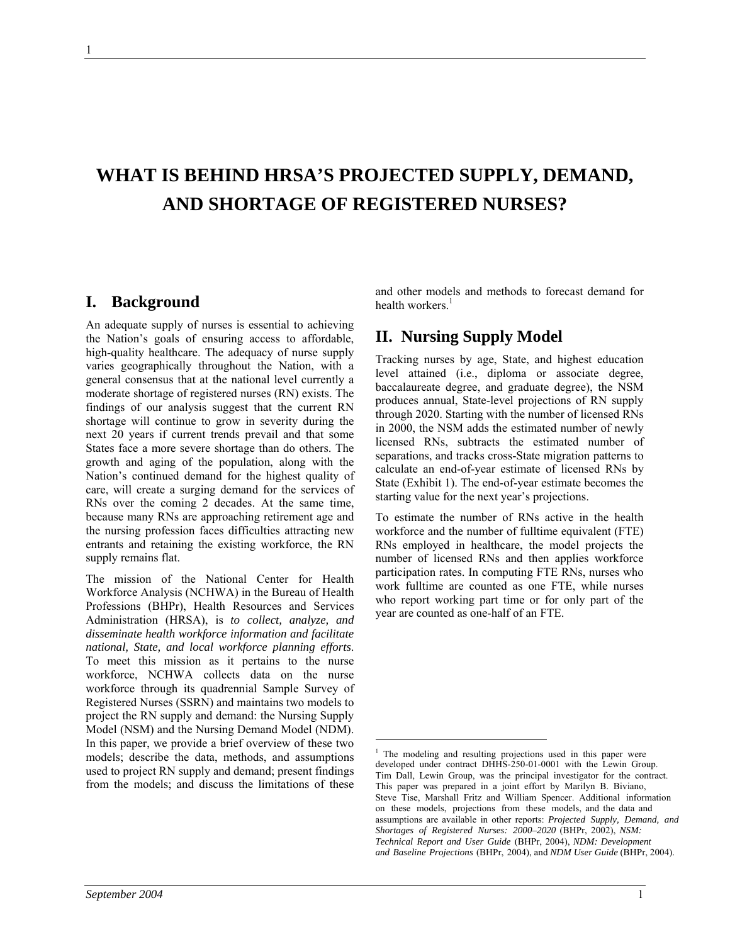# **WHAT IS BEHIND HRSA'S PROJECTED SUPPLY, DEMAND, AND SHORTAGE OF REGISTERED NURSES?**

 $\overline{a}$ 

## **I. Background**

An adequate supply of nurses is essential to achieving the Nation's goals of ensuring access to affordable, high-quality healthcare. The adequacy of nurse supply varies geographically throughout the Nation, with a general consensus that at the national level currently a moderate shortage of registered nurses (RN) exists. The findings of our analysis suggest that the current RN shortage will continue to grow in severity during the next 20 years if current trends prevail and that some States face a more severe shortage than do others. The growth and aging of the population, along with the Nation's continued demand for the highest quality of care, will create a surging demand for the services of RNs over the coming 2 decades. At the same time, because many RNs are approaching retirement age and the nursing profession faces difficulties attracting new entrants and retaining the existing workforce, the RN supply remains flat.

The mission of the National Center for Health Workforce Analysis (NCHWA) in the Bureau of Health Professions (BHPr), Health Resources and Services Administration (HRSA), is *to collect, analyze, and disseminate health workforce information and facilitate national, State, and local workforce planning efforts*. To meet this mission as it pertains to the nurse workforce, NCHWA collects data on the nurse workforce through its quadrennial Sample Survey of Registered Nurses (SSRN) and maintains two models to project the RN supply and demand: the Nursing Supply Model (NSM) and the Nursing Demand Model (NDM). In this paper, we provide a brief overview of these two models; describe the data, methods, and assumptions used to project RN supply and demand; present findings from the models; and discuss the limitations of these

and other models and methods to forecast demand for health workers. $<sup>1</sup>$ </sup>

## **II. Nursing Supply Model**

Tracking nurses by age, State, and highest education level attained (i.e., diploma or associate degree, baccalaureate degree, and graduate degree), the NSM produces annual, State-level projections of RN supply through 2020. Starting with the number of licensed RNs in 2000, the NSM adds the estimated number of newly licensed RNs, subtracts the estimated number of separations, and tracks cross-State migration patterns to calculate an end-of-year estimate of licensed RNs by State (Exhibit 1). The end-of-year estimate becomes the starting value for the next year's projections.

To estimate the number of RNs active in the health workforce and the number of fulltime equivalent (FTE) RNs employed in healthcare, the model projects the number of licensed RNs and then applies workforce participation rates. In computing FTE RNs, nurses who work fulltime are counted as one FTE, while nurses who report working part time or for only part of the year are counted as one-half of an FTE.

<sup>&</sup>lt;sup>1</sup> The modeling and resulting projections used in this paper were developed under contract DHHS-250-01-0001 with the Lewin Group. Tim Dall, Lewin Group, was the principal investigator for the contract. This paper was prepared in a joint effort by Marilyn B. Biviano, Steve Tise, Marshall Fritz and William Spencer. Additional information on these models, projections from these models, and the data and assumptions are available in other reports: *Projected Supply, Demand, and Shortages of Registered Nurses: 2000–2020* (BHPr, 2002), *NSM: Technical Report and User Guide* (BHPr, 2004), *NDM: Development and Baseline Projections* (BHPr, 2004), and *NDM User Guide* (BHPr, 2004).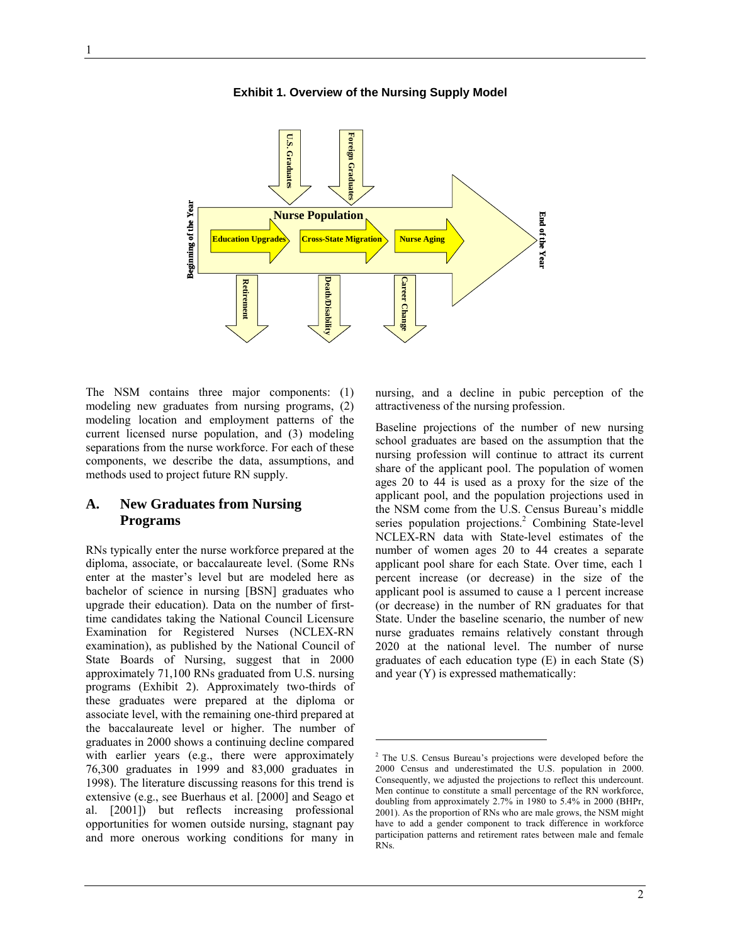**Foreign Graduates U.S. Graduates** اي<br>دا oreign Graduat Graduates **Beginning of the Year Beginning of the Year Nurse Population End of the Year** End of the Year **Education Upgrades Cross-State Migration Nurse Aging Death/Disability Career Change Retirement Retirement Death/Disability lareer** Cha:

-

**Exhibit 1. Overview of the Nursing Supply Model** 

The NSM contains three major components: (1) modeling new graduates from nursing programs, (2) modeling location and employment patterns of the current licensed nurse population, and (3) modeling separations from the nurse workforce. For each of these components, we describe the data, assumptions, and methods used to project future RN supply.

## **A. New Graduates from Nursing Programs**

RNs typically enter the nurse workforce prepared at the diploma, associate, or baccalaureate level. (Some RNs enter at the master's level but are modeled here as bachelor of science in nursing [BSN] graduates who upgrade their education). Data on the number of firsttime candidates taking the National Council Licensure Examination for Registered Nurses (NCLEX-RN examination), as published by the National Council of State Boards of Nursing, suggest that in 2000 approximately 71,100 RNs graduated from U.S. nursing programs (Exhibit 2). Approximately two-thirds of these graduates were prepared at the diploma or associate level, with the remaining one-third prepared at the baccalaureate level or higher. The number of graduates in 2000 shows a continuing decline compared with earlier years (e.g., there were approximately 76,300 graduates in 1999 and 83,000 graduates in 1998). The literature discussing reasons for this trend is extensive (e.g., see Buerhaus et al. [2000] and Seago et al. [2001]) but reflects increasing professional opportunities for women outside nursing, stagnant pay and more onerous working conditions for many in

nursing, and a decline in pubic perception of the attractiveness of the nursing profession.

Baseline projections of the number of new nursing school graduates are based on the assumption that the nursing profession will continue to attract its current share of the applicant pool. The population of women ages 20 to 44 is used as a proxy for the size of the applicant pool, and the population projections used in the NSM come from the U.S. Census Bureau's middle series population projections.<sup>2</sup> Combining State-level NCLEX-RN data with State-level estimates of the number of women ages 20 to 44 creates a separate applicant pool share for each State. Over time, each 1 percent increase (or decrease) in the size of the applicant pool is assumed to cause a 1 percent increase (or decrease) in the number of RN graduates for that State. Under the baseline scenario, the number of new nurse graduates remains relatively constant through 2020 at the national level. The number of nurse graduates of each education type (E) in each State (S) and year (Y) is expressed mathematically:

<sup>&</sup>lt;sup>2</sup> The U.S. Census Bureau's projections were developed before the 2000 Census and underestimated the U.S. population in 2000. Consequently, we adjusted the projections to reflect this undercount. Men continue to constitute a small percentage of the RN workforce, doubling from approximately 2.7% in 1980 to 5.4% in 2000 (BHPr, 2001). As the proportion of RNs who are male grows, the NSM might have to add a gender component to track difference in workforce participation patterns and retirement rates between male and female RNs.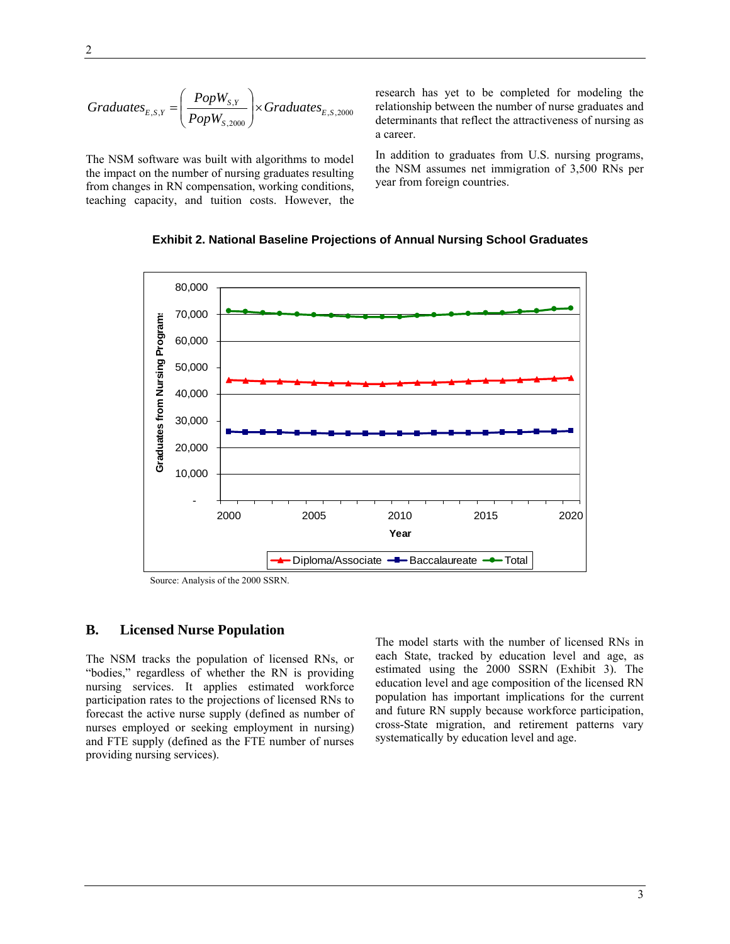$$
Graduates_{E,S,Y} = \left(\frac{PopW_{S,Y}}{PopW_{S,2000}}\right) \times Graduates_{E,S,2000}
$$

The NSM software was built with algorithms to model the impact on the number of nursing graduates resulting from changes in RN compensation, working conditions, teaching capacity, and tuition costs. However, the research has yet to be completed for modeling the relationship between the number of nurse graduates and determinants that reflect the attractiveness of nursing as a career.

In addition to graduates from U.S. nursing programs, the NSM assumes net immigration of 3,500 RNs per year from foreign countries.

#### **Exhibit 2. National Baseline Projections of Annual Nursing School Graduates**



Source: Analysis of the 2000 SSRN.

#### **B. Licensed Nurse Population**

The NSM tracks the population of licensed RNs, or "bodies," regardless of whether the RN is providing nursing services. It applies estimated workforce participation rates to the projections of licensed RNs to forecast the active nurse supply (defined as number of nurses employed or seeking employment in nursing) and FTE supply (defined as the FTE number of nurses providing nursing services).

The model starts with the number of licensed RNs in each State, tracked by education level and age, as estimated using the 2000 SSRN (Exhibit 3). The education level and age composition of the licensed RN population has important implications for the current and future RN supply because workforce participation, cross-State migration, and retirement patterns vary systematically by education level and age.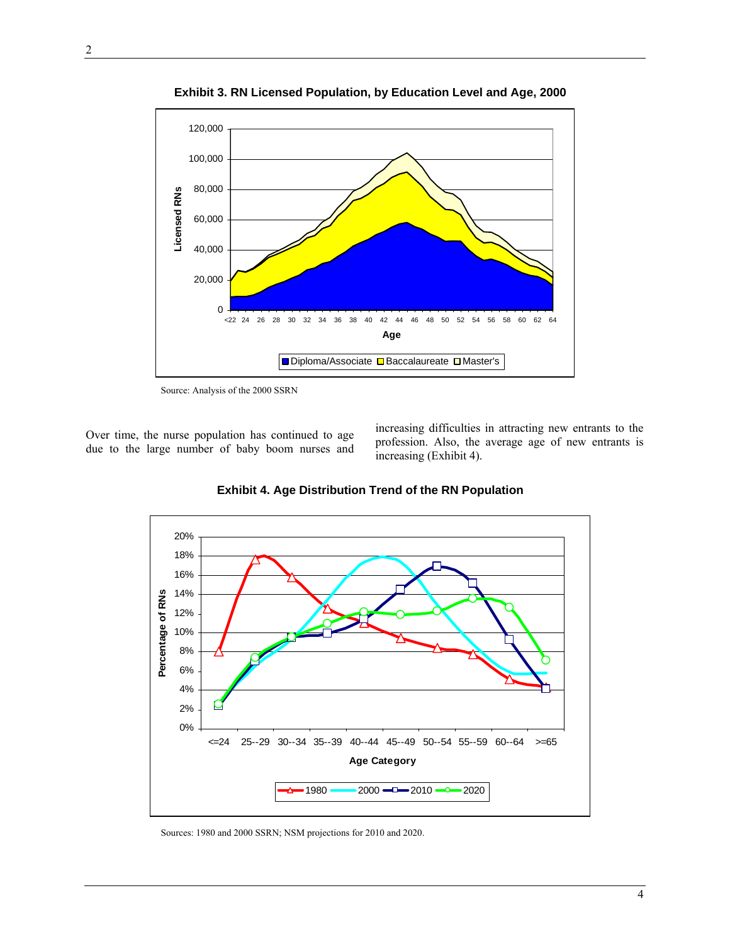

**Exhibit 3. RN Licensed Population, by Education Level and Age, 2000** 

Source: Analysis of the 2000 SSRN

Over time, the nurse population has continued to age due to the large number of baby boom nurses and

increasing difficulties in attracting new entrants to the profession. Also, the average age of new entrants is increasing (Exhibit 4).



**Exhibit 4. Age Distribution Trend of the RN Population** 

Sources: 1980 and 2000 SSRN; NSM projections for 2010 and 2020.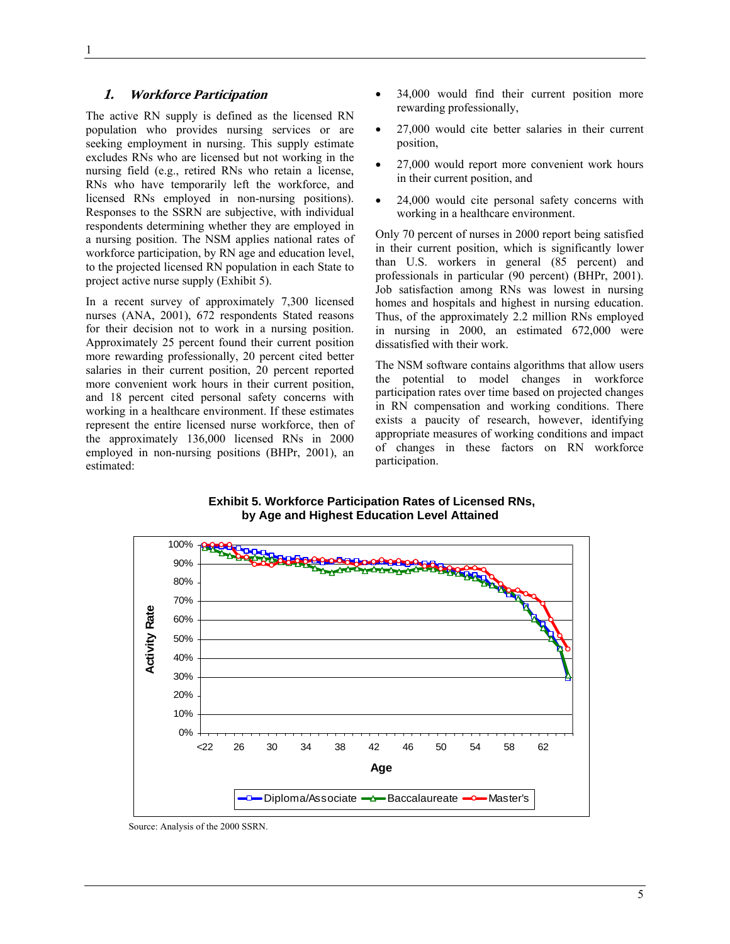#### **1. Workforce Participation**

The active RN supply is defined as the licensed RN population who provides nursing services or are seeking employment in nursing. This supply estimate excludes RNs who are licensed but not working in the nursing field (e.g., retired RNs who retain a license, RNs who have temporarily left the workforce, and licensed RNs employed in non-nursing positions). Responses to the SSRN are subjective, with individual respondents determining whether they are employed in a nursing position. The NSM applies national rates of workforce participation, by RN age and education level, to the projected licensed RN population in each State to project active nurse supply (Exhibit 5).

In a recent survey of approximately 7,300 licensed nurses (ANA, 2001), 672 respondents Stated reasons for their decision not to work in a nursing position. Approximately 25 percent found their current position more rewarding professionally, 20 percent cited better salaries in their current position, 20 percent reported more convenient work hours in their current position, and 18 percent cited personal safety concerns with working in a healthcare environment. If these estimates represent the entire licensed nurse workforce, then of the approximately 136,000 licensed RNs in 2000 employed in non-nursing positions (BHPr, 2001), an estimated:

- 34,000 would find their current position more rewarding professionally,
- 27,000 would cite better salaries in their current position,
- 27,000 would report more convenient work hours in their current position, and
- 24,000 would cite personal safety concerns with working in a healthcare environment.

Only 70 percent of nurses in 2000 report being satisfied in their current position, which is significantly lower than U.S. workers in general (85 percent) and professionals in particular (90 percent) (BHPr, 2001). Job satisfaction among RNs was lowest in nursing homes and hospitals and highest in nursing education. Thus, of the approximately 2.2 million RNs employed in nursing in 2000, an estimated 672,000 were dissatisfied with their work.

The NSM software contains algorithms that allow users the potential to model changes in workforce participation rates over time based on projected changes in RN compensation and working conditions. There exists a paucity of research, however, identifying appropriate measures of working conditions and impact of changes in these factors on RN workforce participation.

 **Exhibit 5. Workforce Participation Rates of Licensed RNs, by Age and Highest Education Level Attained** 



Source: Analysis of the 2000 SSRN.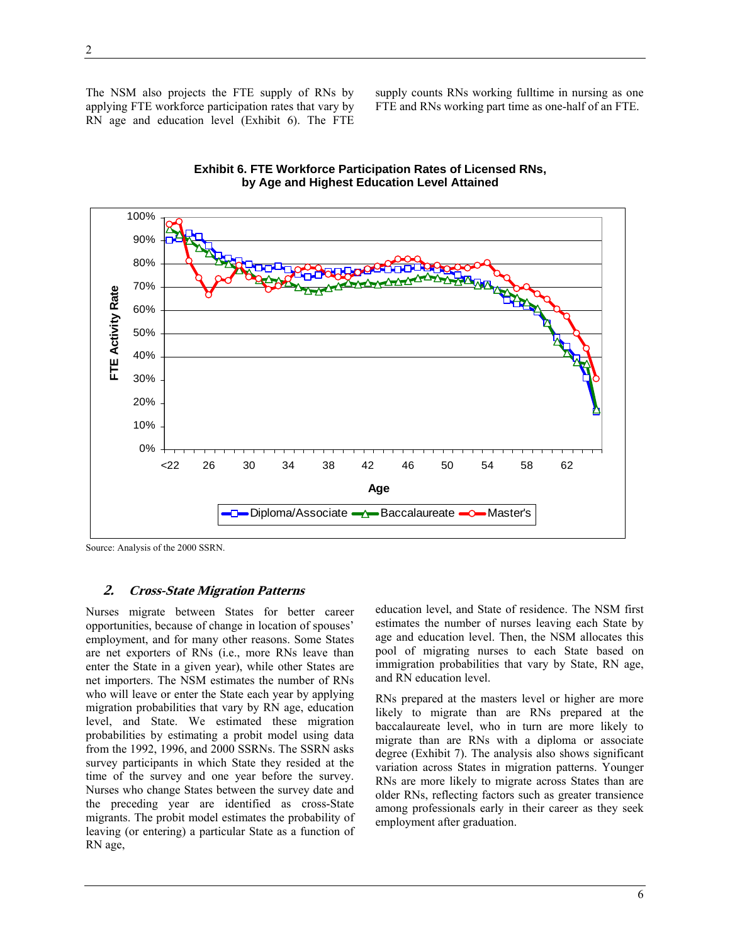The NSM also projects the FTE supply of RNs by applying FTE workforce participation rates that vary by RN age and education level (Exhibit 6). The FTE supply counts RNs working fulltime in nursing as one FTE and RNs working part time as one-half of an FTE.





Source: Analysis of the 2000 SSRN.

#### **2. Cross-State Migration Patterns**

Nurses migrate between States for better career opportunities, because of change in location of spouses' employment, and for many other reasons. Some States are net exporters of RNs (i.e., more RNs leave than enter the State in a given year), while other States are net importers. The NSM estimates the number of RNs who will leave or enter the State each year by applying migration probabilities that vary by RN age, education level, and State. We estimated these migration probabilities by estimating a probit model using data from the 1992, 1996, and 2000 SSRNs. The SSRN asks survey participants in which State they resided at the time of the survey and one year before the survey. Nurses who change States between the survey date and the preceding year are identified as cross-State migrants. The probit model estimates the probability of leaving (or entering) a particular State as a function of RN age,

education level, and State of residence. The NSM first estimates the number of nurses leaving each State by age and education level. Then, the NSM allocates this pool of migrating nurses to each State based on immigration probabilities that vary by State, RN age, and RN education level.

RNs prepared at the masters level or higher are more likely to migrate than are RNs prepared at the baccalaureate level, who in turn are more likely to migrate than are RNs with a diploma or associate degree (Exhibit 7). The analysis also shows significant variation across States in migration patterns. Younger RNs are more likely to migrate across States than are older RNs, reflecting factors such as greater transience among professionals early in their career as they seek employment after graduation.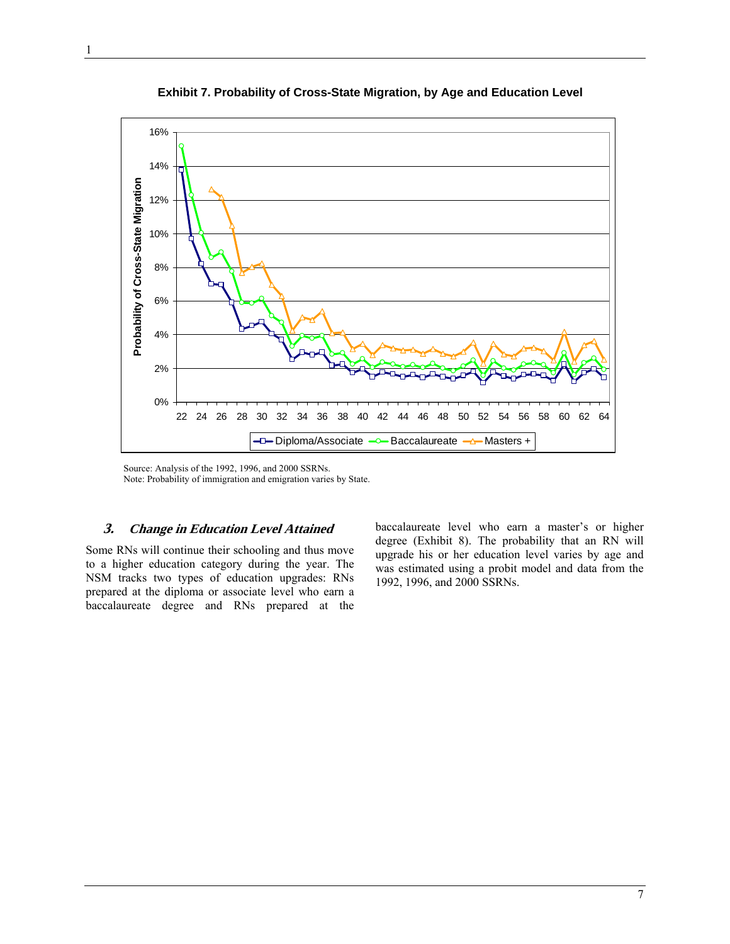

**Exhibit 7. Probability of Cross-State Migration, by Age and Education Level** 

Source: Analysis of the 1992, 1996, and 2000 SSRNs. Note: Probability of immigration and emigration varies by State.

#### **3. Change in Education Level Attained**

Some RNs will continue their schooling and thus move to a higher education category during the year. The NSM tracks two types of education upgrades: RNs prepared at the diploma or associate level who earn a baccalaureate degree and RNs prepared at the

baccalaureate level who earn a master's or higher degree (Exhibit 8). The probability that an RN will upgrade his or her education level varies by age and was estimated using a probit model and data from the 1992, 1996, and 2000 SSRNs.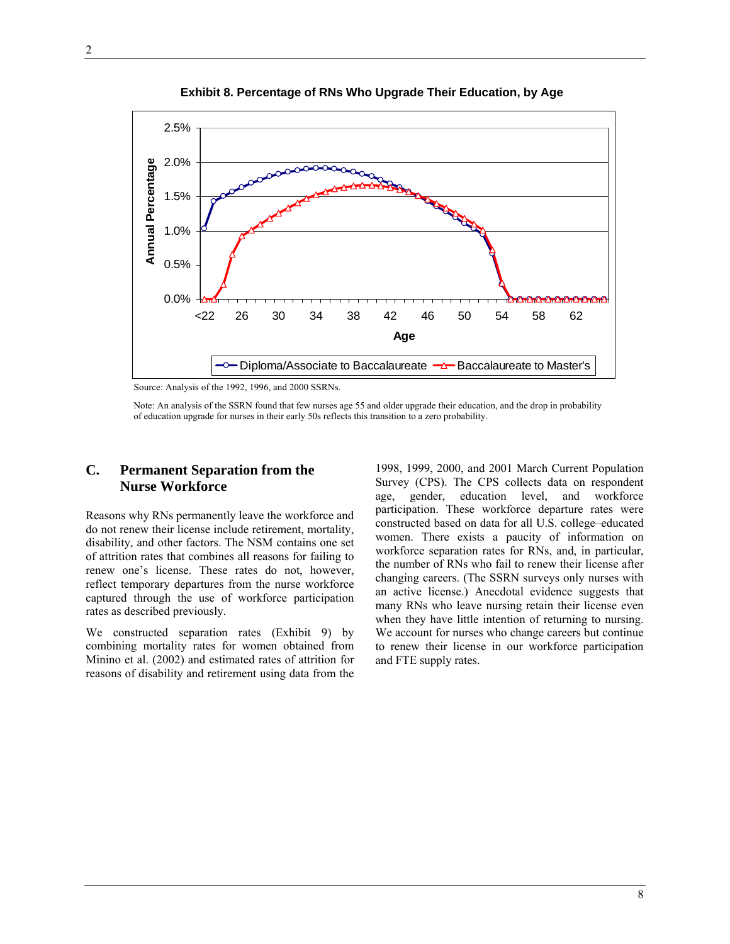

 **Exhibit 8. Percentage of RNs Who Upgrade Their Education, by Age**

Source: Analysis of the 1992, 1996, and 2000 SSRNs.

Note: An analysis of the SSRN found that few nurses age 55 and older upgrade their education, and the drop in probability of education upgrade for nurses in their early 50s reflects this transition to a zero probability.

#### **C. Permanent Separation from the Nurse Workforce**

Reasons why RNs permanently leave the workforce and do not renew their license include retirement, mortality, disability, and other factors. The NSM contains one set of attrition rates that combines all reasons for failing to renew one's license. These rates do not, however, reflect temporary departures from the nurse workforce captured through the use of workforce participation rates as described previously.

We constructed separation rates (Exhibit 9) by combining mortality rates for women obtained from Minino et al. (2002) and estimated rates of attrition for reasons of disability and retirement using data from the

1998, 1999, 2000, and 2001 March Current Population Survey (CPS). The CPS collects data on respondent age, gender, education level, and workforce participation. These workforce departure rates were constructed based on data for all U.S. college–educated women. There exists a paucity of information on workforce separation rates for RNs, and, in particular, the number of RNs who fail to renew their license after changing careers. (The SSRN surveys only nurses with an active license.) Anecdotal evidence suggests that many RNs who leave nursing retain their license even when they have little intention of returning to nursing. We account for nurses who change careers but continue to renew their license in our workforce participation and FTE supply rates.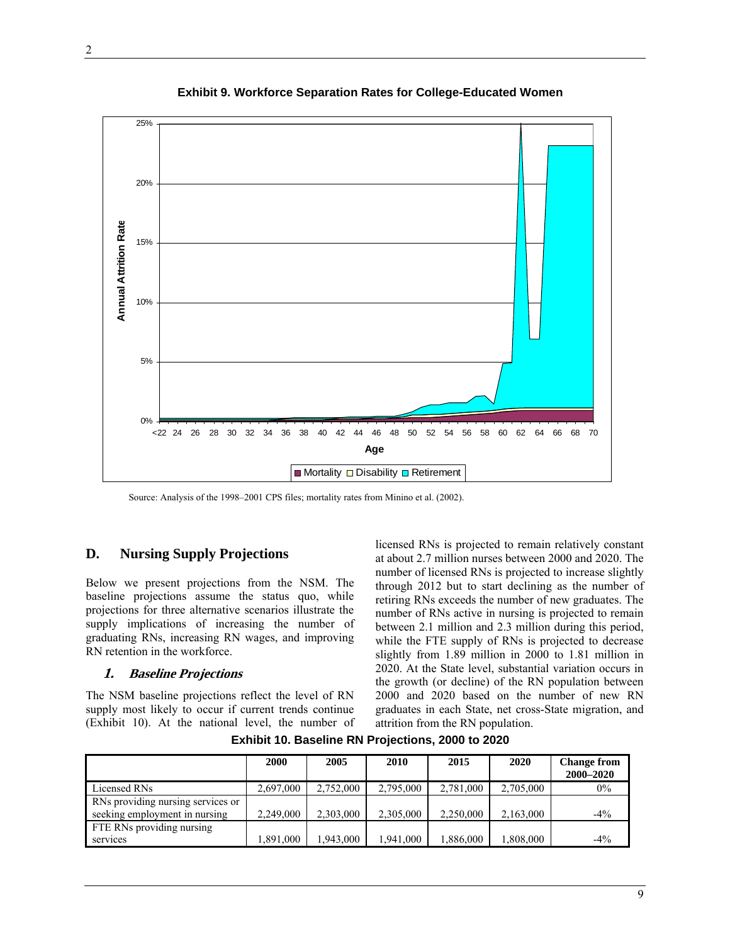

**Exhibit 9. Workforce Separation Rates for College-Educated Women** 

Source: Analysis of the 1998–2001 CPS files; mortality rates from Minino et al. (2002).

## **D. Nursing Supply Projections**

Below we present projections from the NSM. The baseline projections assume the status quo, while projections for three alternative scenarios illustrate the supply implications of increasing the number of graduating RNs, increasing RN wages, and improving RN retention in the workforce.

#### **1. Baseline Projections**

The NSM baseline projections reflect the level of RN supply most likely to occur if current trends continue (Exhibit 10). At the national level, the number of licensed RNs is projected to remain relatively constant at about 2.7 million nurses between 2000 and 2020. The number of licensed RNs is projected to increase slightly through 2012 but to start declining as the number of retiring RNs exceeds the number of new graduates. The number of RNs active in nursing is projected to remain between 2.1 million and 2.3 million during this period, while the FTE supply of RNs is projected to decrease slightly from 1.89 million in 2000 to 1.81 million in 2020. At the State level, substantial variation occurs in the growth (or decline) of the RN population between 2000 and 2020 based on the number of new RN graduates in each State, net cross-State migration, and attrition from the RN population.

|                                   | 2000      | 2005      | 2010      | 2015      | 2020      | <b>Change from</b> |
|-----------------------------------|-----------|-----------|-----------|-----------|-----------|--------------------|
|                                   |           |           |           |           |           | 2000-2020          |
| Licensed RNs                      | 2,697,000 | 2,752,000 | 2,795,000 | 2,781,000 | 2,705,000 | $0\%$              |
| RNs providing nursing services or |           |           |           |           |           |                    |
| seeking employment in nursing     | 2,249,000 | 2,303,000 | 2,305,000 | 2,250,000 | 2,163,000 | $-4\%$             |
| FTE RNs providing nursing         |           |           |           |           |           |                    |
| services                          | 1,891,000 | 1.943.000 | .941.000  | 1,886,000 | 1,808,000 | $-4\%$             |

**Exhibit 10. Baseline RN Projections, 2000 to 2020**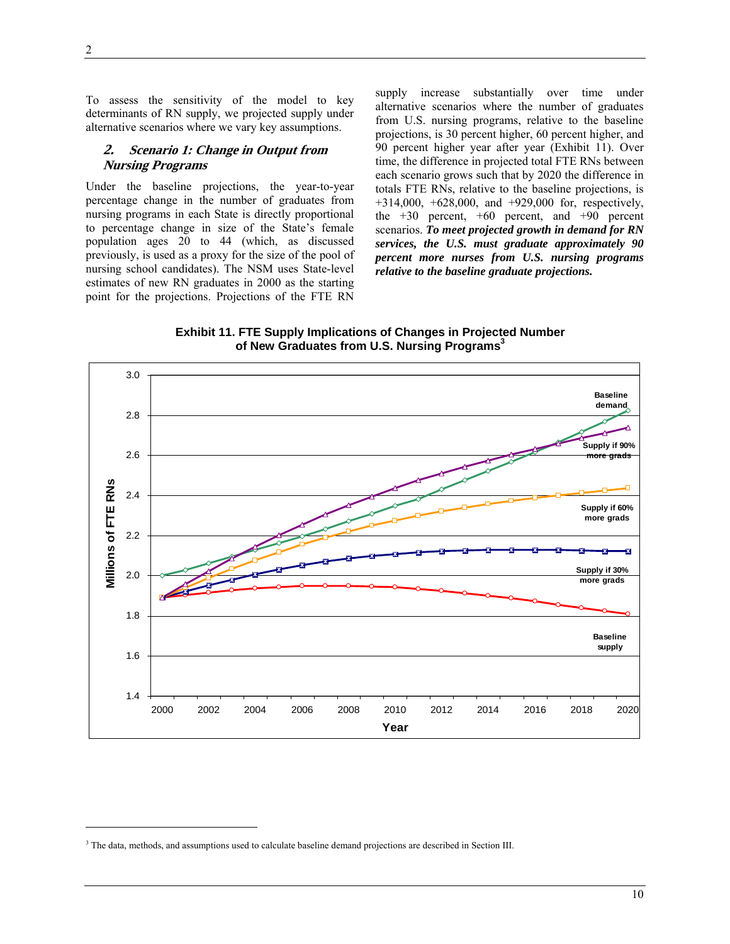2

 $\overline{a}$ 

To assess the sensitivity of the model to key determinants of RN supply, we projected supply under alternative scenarios where we vary key assumptions.

#### **2. Scenario 1: Change in Output from Nursing Programs**

Under the baseline projections, the year-to-year percentage change in the number of graduates from nursing programs in each State is directly proportional to percentage change in size of the State's female population ages 20 to 44 (which, as discussed previously, is used as a proxy for the size of the pool of nursing school candidates). The NSM uses State-level estimates of new RN graduates in 2000 as the starting point for the projections. Projections of the FTE RN

supply increase substantially over time under alternative scenarios where the number of graduates from U.S. nursing programs, relative to the baseline projections, is 30 percent higher, 60 percent higher, and 90 percent higher year after year (Exhibit 11). Over time, the difference in projected total FTE RNs between each scenario grows such that by 2020 the difference in totals FTE RNs, relative to the baseline projections, is +314,000, +628,000, and +929,000 for, respectively, the  $+30$  percent,  $+60$  percent, and  $+90$  percent scenarios. *To meet projected growth in demand for RN services, the U.S. must graduate approximately 90 percent more nurses from U.S. nursing programs relative to the baseline graduate projections.* 

**Exhibit 11. FTE Supply Implications of Changes in Projected Number**  of New Graduates from U.S. Nursing Programs<sup>3</sup>



<sup>&</sup>lt;sup>3</sup> The data, methods, and assumptions used to calculate baseline demand projections are described in Section III.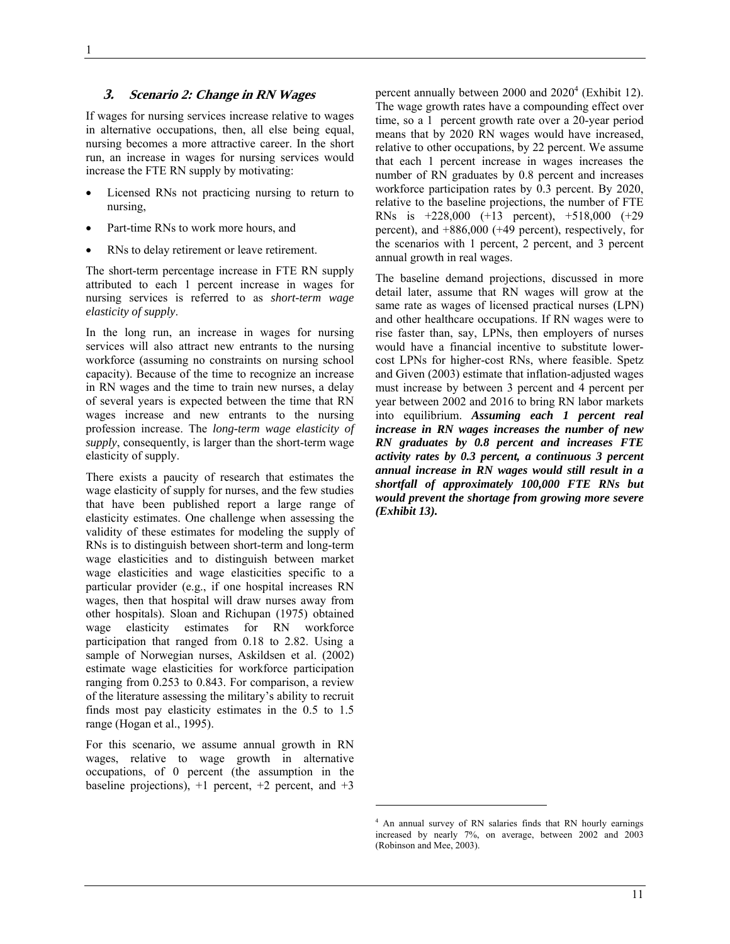#### **3. Scenario 2: Change in RN Wages**

If wages for nursing services increase relative to wages in alternative occupations, then, all else being equal, nursing becomes a more attractive career. In the short run, an increase in wages for nursing services would increase the FTE RN supply by motivating:

- Licensed RNs not practicing nursing to return to nursing,
- Part-time RNs to work more hours, and
- RNs to delay retirement or leave retirement.

The short-term percentage increase in FTE RN supply attributed to each 1 percent increase in wages for nursing services is referred to as *short-term wage elasticity of supply*.

In the long run, an increase in wages for nursing services will also attract new entrants to the nursing workforce (assuming no constraints on nursing school capacity). Because of the time to recognize an increase in RN wages and the time to train new nurses, a delay of several years is expected between the time that RN wages increase and new entrants to the nursing profession increase. The *long-term wage elasticity of supply*, consequently, is larger than the short-term wage elasticity of supply.

There exists a paucity of research that estimates the wage elasticity of supply for nurses, and the few studies that have been published report a large range of elasticity estimates. One challenge when assessing the validity of these estimates for modeling the supply of RNs is to distinguish between short-term and long-term wage elasticities and to distinguish between market wage elasticities and wage elasticities specific to a particular provider (e.g., if one hospital increases RN wages, then that hospital will draw nurses away from other hospitals). Sloan and Richupan (1975) obtained wage elasticity estimates for RN workforce participation that ranged from 0.18 to 2.82. Using a sample of Norwegian nurses, Askildsen et al. (2002) estimate wage elasticities for workforce participation ranging from 0.253 to 0.843. For comparison, a review of the literature assessing the military's ability to recruit finds most pay elasticity estimates in the 0.5 to 1.5 range (Hogan et al., 1995).

For this scenario, we assume annual growth in RN wages, relative to wage growth in alternative occupations, of 0 percent (the assumption in the baseline projections),  $+1$  percent,  $+2$  percent, and  $+3$ 

percent annually between  $2000$  and  $2020<sup>4</sup>$  (Exhibit 12). The wage growth rates have a compounding effect over time, so a 1 percent growth rate over a 20-year period means that by 2020 RN wages would have increased, relative to other occupations, by 22 percent. We assume that each 1 percent increase in wages increases the number of RN graduates by 0.8 percent and increases workforce participation rates by 0.3 percent. By 2020, relative to the baseline projections, the number of FTE RNs is +228,000 (+13 percent), +518,000 (+29 percent), and +886,000 (+49 percent), respectively, for the scenarios with 1 percent, 2 percent, and 3 percent annual growth in real wages.

The baseline demand projections, discussed in more detail later, assume that RN wages will grow at the same rate as wages of licensed practical nurses (LPN) and other healthcare occupations. If RN wages were to rise faster than, say, LPNs, then employers of nurses would have a financial incentive to substitute lowercost LPNs for higher-cost RNs, where feasible. Spetz and Given (2003) estimate that inflation-adjusted wages must increase by between 3 percent and 4 percent per year between 2002 and 2016 to bring RN labor markets into equilibrium. *Assuming each 1 percent real increase in RN wages increases the number of new RN graduates by 0.8 percent and increases FTE activity rates by 0.3 percent, a continuous 3 percent annual increase in RN wages would still result in a shortfall of approximately 100,000 FTE RNs but would prevent the shortage from growing more severe (Exhibit 13).* 

 $\overline{a}$ 

<sup>&</sup>lt;sup>4</sup> An annual survey of RN salaries finds that RN hourly earnings increased by nearly 7%, on average, between 2002 and 2003 (Robinson and Mee, 2003).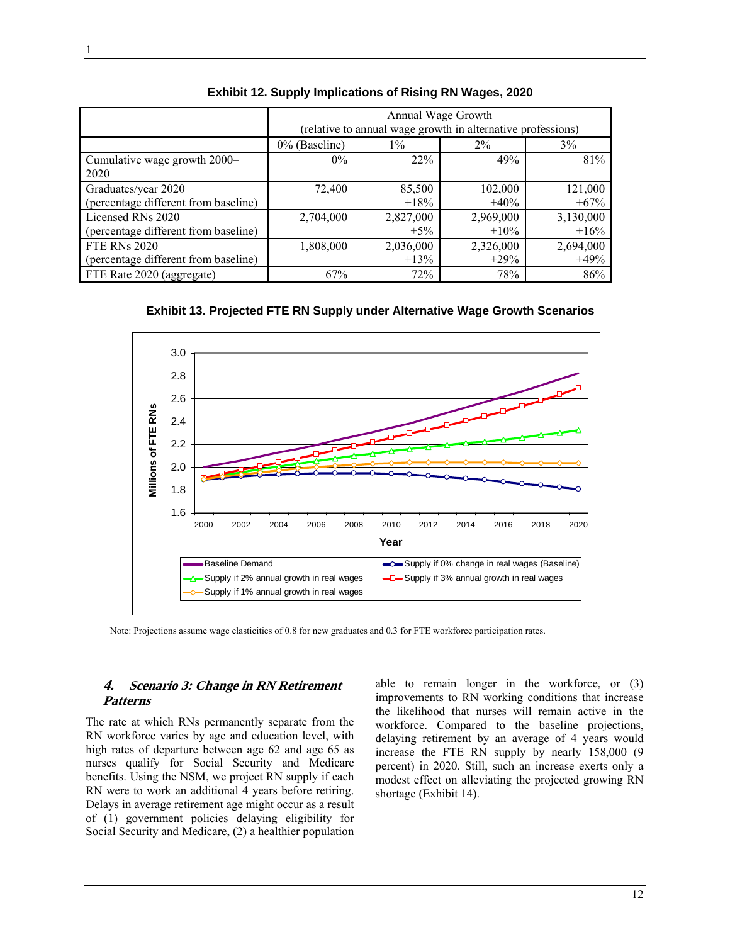|                                      | Annual Wage Growth                       |                                                             |           |           |  |  |  |  |  |
|--------------------------------------|------------------------------------------|-------------------------------------------------------------|-----------|-----------|--|--|--|--|--|
|                                      |                                          | (relative to annual wage growth in alternative professions) |           |           |  |  |  |  |  |
|                                      | $0\%$ (Baseline)<br>3%<br>$1\%$<br>$2\%$ |                                                             |           |           |  |  |  |  |  |
| Cumulative wage growth 2000–         | $0\%$                                    | 22%                                                         | 49%       | 81%       |  |  |  |  |  |
| 2020                                 |                                          |                                                             |           |           |  |  |  |  |  |
| Graduates/year 2020                  | 72,400                                   | 85,500                                                      | 102,000   | 121,000   |  |  |  |  |  |
| (percentage different from baseline) |                                          | $+18%$                                                      | $+40%$    | $+67%$    |  |  |  |  |  |
| Licensed RNs 2020                    | 2,704,000                                | 2,827,000                                                   | 2,969,000 | 3,130,000 |  |  |  |  |  |
| (percentage different from baseline) |                                          | $+5\%$                                                      | $+10\%$   | $+16%$    |  |  |  |  |  |
| <b>FTE RNs 2020</b>                  | 1,808,000                                | 2,036,000                                                   | 2,326,000 | 2,694,000 |  |  |  |  |  |
| (percentage different from baseline) |                                          | $+13\%$                                                     | $+29\%$   | $+49%$    |  |  |  |  |  |
| FTE Rate 2020 (aggregate)            | 67%                                      | 72%                                                         | 78%       | 86%       |  |  |  |  |  |

**Exhibit 12. Supply Implications of Rising RN Wages, 2020** 

**Exhibit 13. Projected FTE RN Supply under Alternative Wage Growth Scenarios** 



Note: Projections assume wage elasticities of 0.8 for new graduates and 0.3 for FTE workforce participation rates.

## **4. Scenario 3: Change in RN Retirement Patterns**

The rate at which RNs permanently separate from the RN workforce varies by age and education level, with high rates of departure between age 62 and age 65 as nurses qualify for Social Security and Medicare benefits. Using the NSM, we project RN supply if each RN were to work an additional 4 years before retiring. Delays in average retirement age might occur as a result of (1) government policies delaying eligibility for Social Security and Medicare, (2) a healthier population

able to remain longer in the workforce, or (3) improvements to RN working conditions that increase the likelihood that nurses will remain active in the workforce. Compared to the baseline projections, delaying retirement by an average of 4 years would increase the FTE RN supply by nearly 158,000 (9 percent) in 2020. Still, such an increase exerts only a modest effect on alleviating the projected growing RN shortage (Exhibit 14).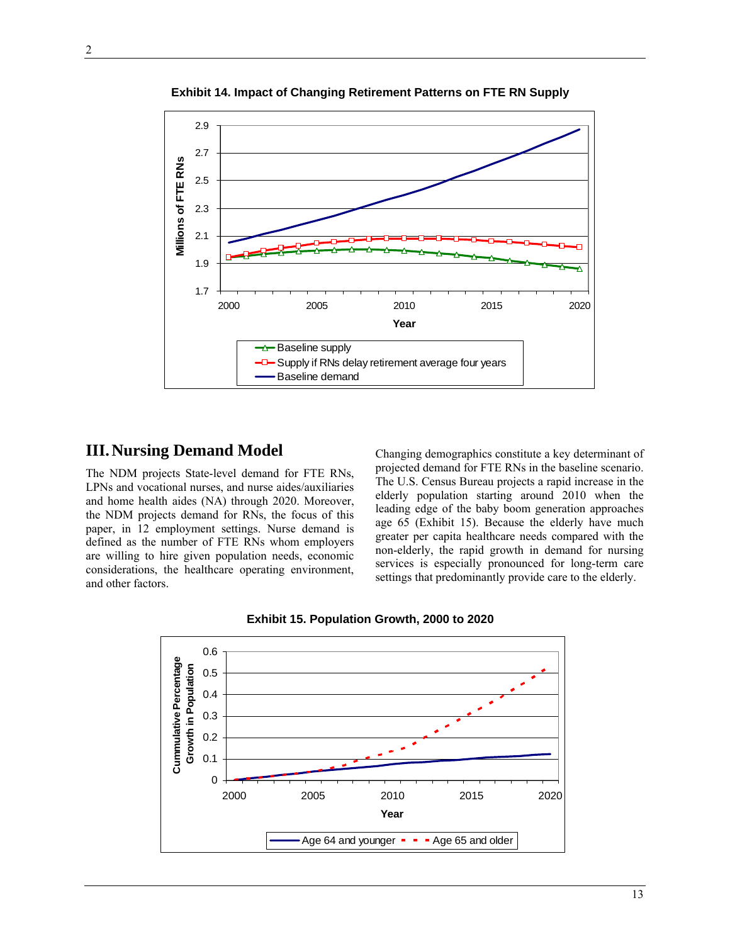

**Exhibit 14. Impact of Changing Retirement Patterns on FTE RN Supply** 

## **III.Nursing Demand Model**

The NDM projects State-level demand for FTE RNs, LPNs and vocational nurses, and nurse aides/auxiliaries and home health aides (NA) through 2020. Moreover, the NDM projects demand for RNs, the focus of this paper, in 12 employment settings. Nurse demand is defined as the number of FTE RNs whom employers are willing to hire given population needs, economic considerations, the healthcare operating environment, and other factors.

Changing demographics constitute a key determinant of projected demand for FTE RNs in the baseline scenario. The U.S. Census Bureau projects a rapid increase in the elderly population starting around 2010 when the leading edge of the baby boom generation approaches age 65 (Exhibit 15). Because the elderly have much greater per capita healthcare needs compared with the non-elderly, the rapid growth in demand for nursing services is especially pronounced for long-term care settings that predominantly provide care to the elderly.



**Exhibit 15. Population Growth, 2000 to 2020**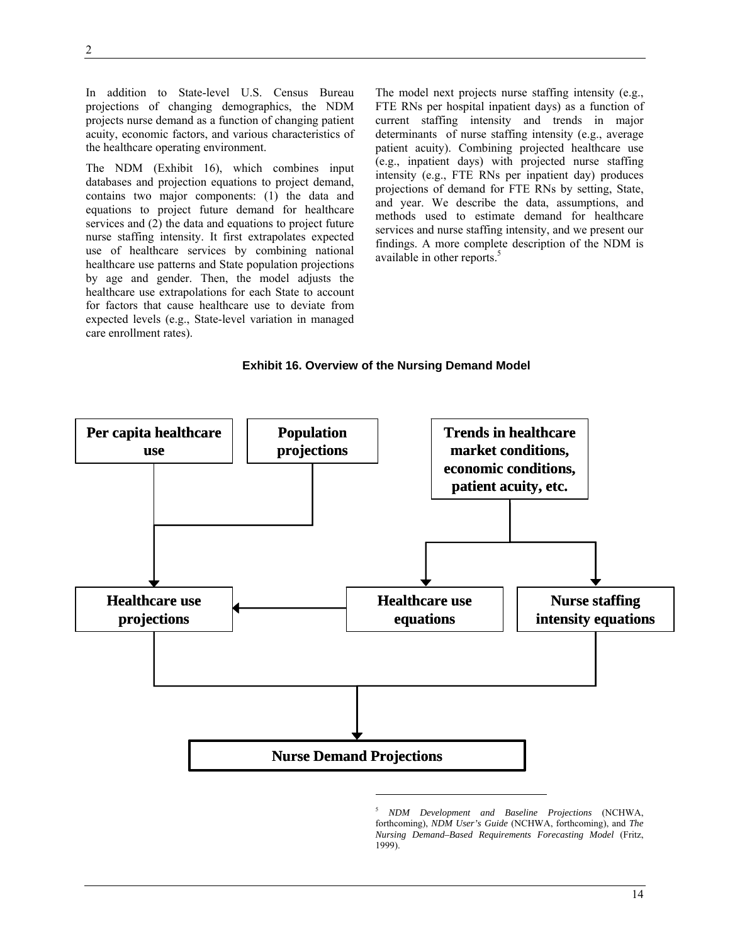In addition to State-level U.S. Census Bureau projections of changing demographics, the NDM projects nurse demand as a function of changing patient acuity, economic factors, and various characteristics of the healthcare operating environment.

The NDM (Exhibit 16), which combines input databases and projection equations to project demand, contains two major components: (1) the data and equations to project future demand for healthcare services and (2) the data and equations to project future nurse staffing intensity. It first extrapolates expected use of healthcare services by combining national healthcare use patterns and State population projections by age and gender. Then, the model adjusts the healthcare use extrapolations for each State to account for factors that cause healthcare use to deviate from expected levels (e.g., State-level variation in managed care enrollment rates).

The model next projects nurse staffing intensity (e.g., FTE RNs per hospital inpatient days) as a function of current staffing intensity and trends in major determinants of nurse staffing intensity (e.g., average patient acuity). Combining projected healthcare use (e.g., inpatient days) with projected nurse staffing intensity (e.g., FTE RNs per inpatient day) produces projections of demand for FTE RNs by setting, State, and year. We describe the data, assumptions, and methods used to estimate demand for healthcare services and nurse staffing intensity, and we present our findings. A more complete description of the NDM is available in other reports.<sup>5</sup>

#### **Exhibit 16. Overview of the Nursing Demand Model**



<sup>5</sup> *NDM Development and Baseline Projections* (NCHWA, forthcoming), *NDM User's Guide* (NCHWA, forthcoming), and *The Nursing Demand–Based Requirements Forecasting Model* (Fritz, 1999).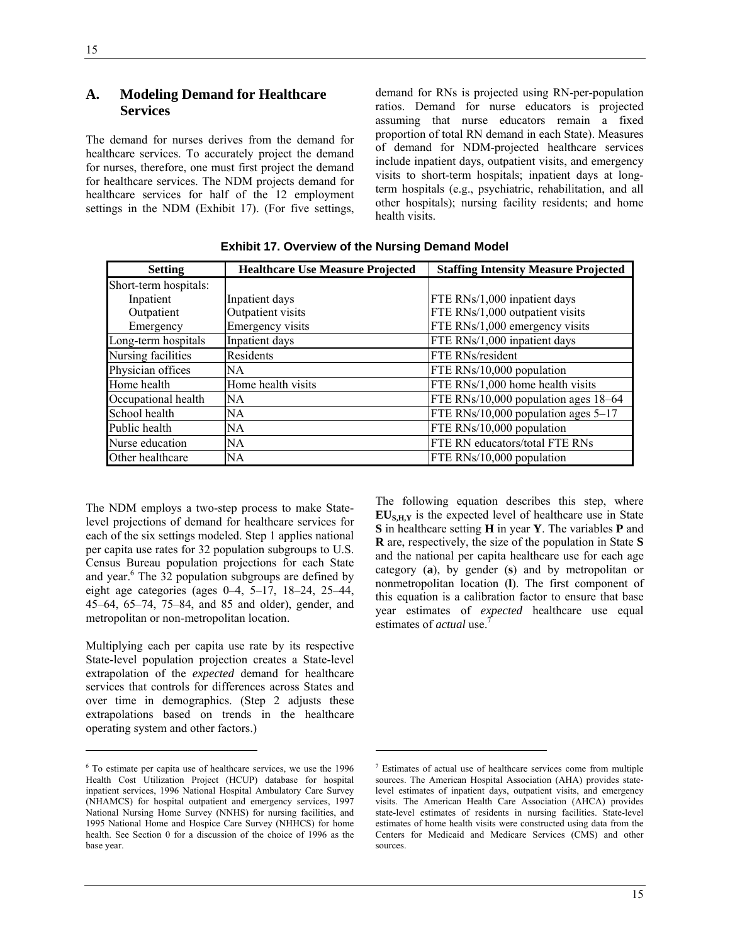## **A. Modeling Demand for Healthcare Services**

The demand for nurses derives from the demand for healthcare services. To accurately project the demand for nurses, therefore, one must first project the demand for healthcare services. The NDM projects demand for healthcare services for half of the 12 employment settings in the NDM (Exhibit 17). (For five settings,

demand for RNs is projected using RN-per-population ratios. Demand for nurse educators is projected assuming that nurse educators remain a fixed proportion of total RN demand in each State). Measures of demand for NDM-projected healthcare services include inpatient days, outpatient visits, and emergency visits to short-term hospitals; inpatient days at longterm hospitals (e.g., psychiatric, rehabilitation, and all other hospitals); nursing facility residents; and home health visits.

| <b>Setting</b>        | <b>Healthcare Use Measure Projected</b> | <b>Staffing Intensity Measure Projected</b> |
|-----------------------|-----------------------------------------|---------------------------------------------|
| Short-term hospitals: |                                         |                                             |
| Inpatient             | Inpatient days                          | FTE RNs/1,000 inpatient days                |
| Outpatient            | Outpatient visits                       | FTE RNs/1,000 outpatient visits             |
| Emergency             | Emergency visits                        | FTE RNs/1,000 emergency visits              |
| Long-term hospitals   | Inpatient days                          | FTE RNs/1,000 inpatient days                |
| Nursing facilities    | Residents                               | FTE RNs/resident                            |
| Physician offices     | <b>NA</b>                               | FTE RNs/10,000 population                   |
| Home health           | Home health visits                      | FTE RNs/1,000 home health visits            |
| Occupational health   | <b>NA</b>                               | FTE RNs/10,000 population ages 18–64        |
| School health         | NA                                      | FTE RNs/10,000 population ages $5-17$       |
| Public health         | NA                                      | FTE RNs/10,000 population                   |
| Nurse education       | NA                                      | FTE RN educators/total FTE RNs              |
| Other healthcare      | NA                                      | FTE RNs/10,000 population                   |

 $\overline{a}$ 

**Exhibit 17. Overview of the Nursing Demand Model** 

The NDM employs a two-step process to make Statelevel projections of demand for healthcare services for each of the six settings modeled. Step 1 applies national per capita use rates for 32 population subgroups to U.S. Census Bureau population projections for each State and year.<sup>6</sup> The 32 population subgroups are defined by eight age categories (ages 0–4, 5–17, 18–24, 25–44, 45–64, 65–74, 75–84, and 85 and older), gender, and metropolitan or non-metropolitan location.

Multiplying each per capita use rate by its respective State-level population projection creates a State-level extrapolation of the *expected* demand for healthcare services that controls for differences across States and over time in demographics. (Step 2 adjusts these extrapolations based on trends in the healthcare operating system and other factors.)

-

The following equation describes this step, where **EUS,H,Y** is the expected level of healthcare use in State **S** in healthcare setting **H** in year **Y**. The variables **P** and **R** are, respectively, the size of the population in State **S** and the national per capita healthcare use for each age category (**a**), by gender (**s**) and by metropolitan or nonmetropolitan location (**l**). The first component of this equation is a calibration factor to ensure that base year estimates of *expected* healthcare use equal estimates of *actual* use.7

<sup>6</sup> To estimate per capita use of healthcare services, we use the 1996 Health Cost Utilization Project (HCUP) database for hospital inpatient services, 1996 National Hospital Ambulatory Care Survey (NHAMCS) for hospital outpatient and emergency services, 1997 National Nursing Home Survey (NNHS) for nursing facilities, and 1995 National Home and Hospice Care Survey (NHHCS) for home health. See Section 0 for a discussion of the choice of 1996 as the base year.

<sup>&</sup>lt;sup>7</sup> Estimates of actual use of healthcare services come from multiple sources. The American Hospital Association (AHA) provides statelevel estimates of inpatient days, outpatient visits, and emergency visits. The American Health Care Association (AHCA) provides state-level estimates of residents in nursing facilities. State-level estimates of home health visits were constructed using data from the Centers for Medicaid and Medicare Services (CMS) and other sources.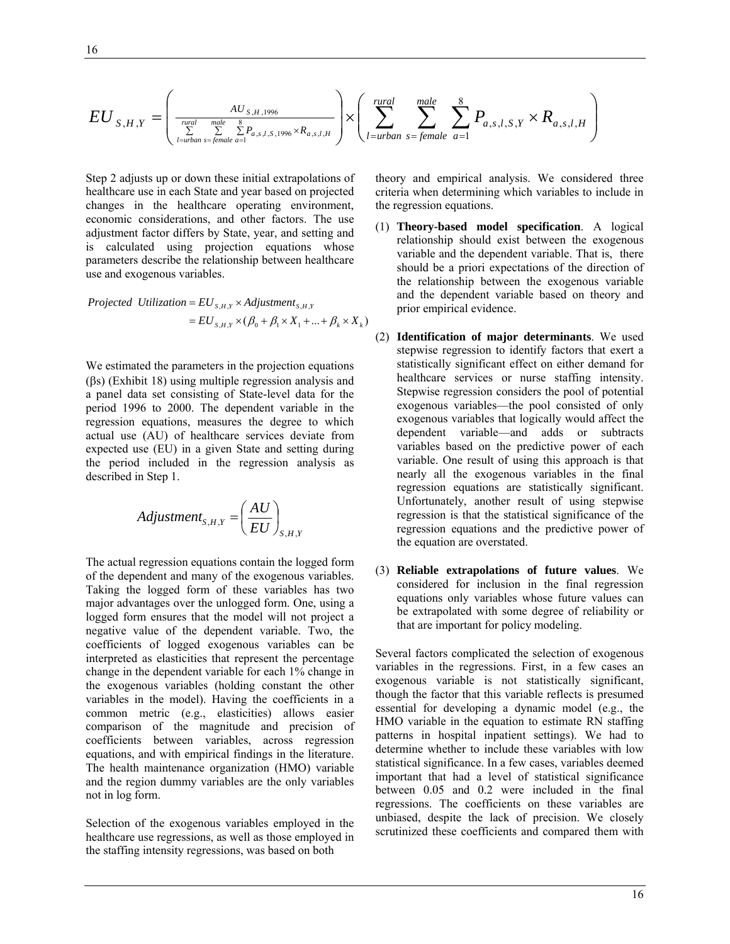$$
EU_{S,H,Y} = \left(\frac{AU_{S,H,1996}}{\sum\limits_{l=urban}\sum\limits_{s=female}\sum\limits_{a=1}^{RU_{S,H,1996} \times R_{a,s,l,H}}}\right) \times \left(\sum\limits_{l=urban}\limits^{rural}\sum\limits_{s=female}\sum\limits_{a=1}^{8} P_{a,s,l,S,Y} \times R_{a,s,l,H}\right)
$$

Step 2 adjusts up or down these initial extrapolations of healthcare use in each State and year based on projected changes in the healthcare operating environment, economic considerations, and other factors. The use adjustment factor differs by State, year, and setting and is calculated using projection equations whose parameters describe the relationship between healthcare use and exogenous variables.

*Projected Utilization* = 
$$
EU_{S,H,Y} \times Adjustment_{S,H,Y}
$$
  
=  $EU_{S,H,Y} \times (\beta_0 + \beta_1 \times X_1 + ... + \beta_k \times X_k)$ 

We estimated the parameters in the projection equations (βs) (Exhibit 18) using multiple regression analysis and a panel data set consisting of State-level data for the period 1996 to 2000. The dependent variable in the regression equations, measures the degree to which actual use (AU) of healthcare services deviate from expected use (EU) in a given State and setting during the period included in the regression analysis as described in Step 1.

$$
Adjustment_{S,H,Y} = \left(\frac{AU}{EU}\right)_{S,H,Y}
$$

The actual regression equations contain the logged form of the dependent and many of the exogenous variables. Taking the logged form of these variables has two major advantages over the unlogged form. One, using a logged form ensures that the model will not project a negative value of the dependent variable. Two, the coefficients of logged exogenous variables can be interpreted as elasticities that represent the percentage change in the dependent variable for each 1% change in the exogenous variables (holding constant the other variables in the model). Having the coefficients in a common metric (e.g., elasticities) allows easier comparison of the magnitude and precision of coefficients between variables, across regression equations, and with empirical findings in the literature. The health maintenance organization (HMO) variable and the region dummy variables are the only variables not in log form.

Selection of the exogenous variables employed in the healthcare use regressions, as well as those employed in the staffing intensity regressions, was based on both

theory and empirical analysis. We considered three criteria when determining which variables to include in the regression equations.

- (1) **Theory-based model specification**. A logical relationship should exist between the exogenous variable and the dependent variable. That is, there should be a priori expectations of the direction of the relationship between the exogenous variable and the dependent variable based on theory and prior empirical evidence.
- (2) **Identification of major determinants**. We used stepwise regression to identify factors that exert a statistically significant effect on either demand for healthcare services or nurse staffing intensity. Stepwise regression considers the pool of potential exogenous variables—the pool consisted of only exogenous variables that logically would affect the dependent variable—and adds or subtracts variables based on the predictive power of each variable. One result of using this approach is that nearly all the exogenous variables in the final regression equations are statistically significant. Unfortunately, another result of using stepwise regression is that the statistical significance of the regression equations and the predictive power of the equation are overstated.
- (3) **Reliable extrapolations of future values**. We considered for inclusion in the final regression equations only variables whose future values can be extrapolated with some degree of reliability or that are important for policy modeling.

Several factors complicated the selection of exogenous variables in the regressions. First, in a few cases an exogenous variable is not statistically significant, though the factor that this variable reflects is presumed essential for developing a dynamic model (e.g., the HMO variable in the equation to estimate RN staffing patterns in hospital inpatient settings). We had to determine whether to include these variables with low statistical significance. In a few cases, variables deemed important that had a level of statistical significance between 0.05 and 0.2 were included in the final regressions. The coefficients on these variables are unbiased, despite the lack of precision. We closely scrutinized these coefficients and compared them with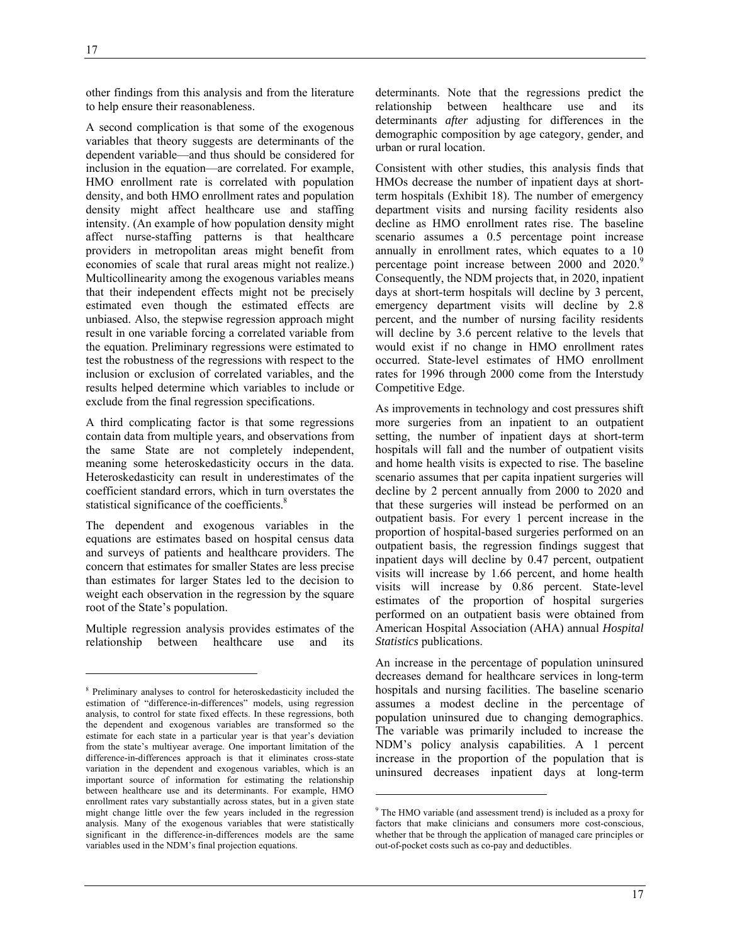$\overline{a}$ 

other findings from this analysis and from the literature to help ensure their reasonableness.

A second complication is that some of the exogenous variables that theory suggests are determinants of the dependent variable—and thus should be considered for inclusion in the equation—are correlated. For example, HMO enrollment rate is correlated with population density, and both HMO enrollment rates and population density might affect healthcare use and staffing intensity. (An example of how population density might affect nurse-staffing patterns is that healthcare providers in metropolitan areas might benefit from economies of scale that rural areas might not realize.) Multicollinearity among the exogenous variables means that their independent effects might not be precisely estimated even though the estimated effects are unbiased. Also, the stepwise regression approach might result in one variable forcing a correlated variable from the equation. Preliminary regressions were estimated to test the robustness of the regressions with respect to the inclusion or exclusion of correlated variables, and the results helped determine which variables to include or exclude from the final regression specifications.

A third complicating factor is that some regressions contain data from multiple years, and observations from the same State are not completely independent, meaning some heteroskedasticity occurs in the data. Heteroskedasticity can result in underestimates of the coefficient standard errors, which in turn overstates the statistical significance of the coefficients.<sup>8</sup>

The dependent and exogenous variables in the equations are estimates based on hospital census data and surveys of patients and healthcare providers. The concern that estimates for smaller States are less precise than estimates for larger States led to the decision to weight each observation in the regression by the square root of the State's population.

Multiple regression analysis provides estimates of the relationship between healthcare use and its

determinants. Note that the regressions predict the relationship between healthcare use and its determinants *after* adjusting for differences in the demographic composition by age category, gender, and urban or rural location.

Consistent with other studies, this analysis finds that HMOs decrease the number of inpatient days at shortterm hospitals (Exhibit 18). The number of emergency department visits and nursing facility residents also decline as HMO enrollment rates rise. The baseline scenario assumes a 0.5 percentage point increase annually in enrollment rates, which equates to a 10 percentage point increase between 2000 and 2020.<sup>9</sup> Consequently, the NDM projects that, in 2020, inpatient days at short-term hospitals will decline by 3 percent, emergency department visits will decline by 2.8 percent, and the number of nursing facility residents will decline by 3.6 percent relative to the levels that would exist if no change in HMO enrollment rates occurred. State-level estimates of HMO enrollment rates for 1996 through 2000 come from the Interstudy Competitive Edge.

As improvements in technology and cost pressures shift more surgeries from an inpatient to an outpatient setting, the number of inpatient days at short-term hospitals will fall and the number of outpatient visits and home health visits is expected to rise. The baseline scenario assumes that per capita inpatient surgeries will decline by 2 percent annually from 2000 to 2020 and that these surgeries will instead be performed on an outpatient basis. For every 1 percent increase in the proportion of hospital-based surgeries performed on an outpatient basis, the regression findings suggest that inpatient days will decline by 0.47 percent, outpatient visits will increase by 1.66 percent, and home health visits will increase by 0.86 percent. State-level estimates of the proportion of hospital surgeries performed on an outpatient basis were obtained from American Hospital Association (AHA) annual *Hospital Statistics* publications.

An increase in the percentage of population uninsured decreases demand for healthcare services in long-term hospitals and nursing facilities. The baseline scenario assumes a modest decline in the percentage of population uninsured due to changing demographics. The variable was primarily included to increase the NDM's policy analysis capabilities. A 1 percent increase in the proportion of the population that is uninsured decreases inpatient days at long-term

 $\overline{a}$ 

<sup>8</sup> Preliminary analyses to control for heteroskedasticity included the estimation of "difference-in-differences" models, using regression analysis, to control for state fixed effects. In these regressions, both the dependent and exogenous variables are transformed so the estimate for each state in a particular year is that year's deviation from the state's multiyear average. One important limitation of the difference-in-differences approach is that it eliminates cross-state variation in the dependent and exogenous variables, which is an important source of information for estimating the relationship between healthcare use and its determinants. For example, HMO enrollment rates vary substantially across states, but in a given state might change little over the few years included in the regression analysis. Many of the exogenous variables that were statistically significant in the difference-in-differences models are the same variables used in the NDM's final projection equations.

<sup>&</sup>lt;sup>9</sup> The HMO variable (and assessment trend) is included as a proxy for factors that make clinicians and consumers more cost-conscious, whether that be through the application of managed care principles or out-of-pocket costs such as co-pay and deductibles.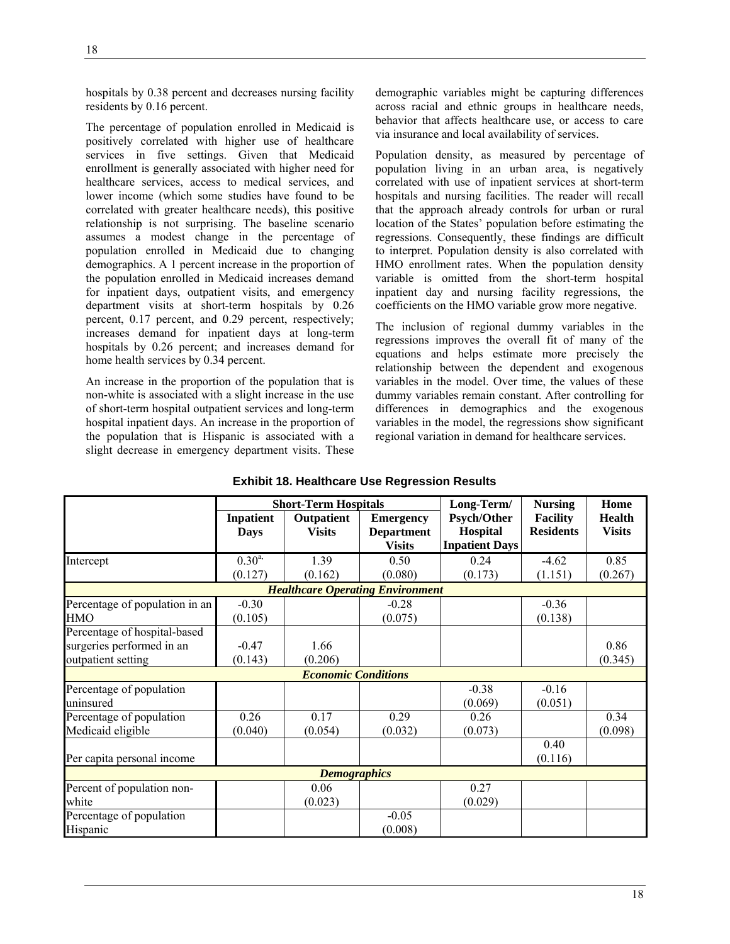hospitals by 0.38 percent and decreases nursing facility residents by 0.16 percent.

The percentage of population enrolled in Medicaid is positively correlated with higher use of healthcare services in five settings. Given that Medicaid enrollment is generally associated with higher need for healthcare services, access to medical services, and lower income (which some studies have found to be correlated with greater healthcare needs), this positive relationship is not surprising. The baseline scenario assumes a modest change in the percentage of population enrolled in Medicaid due to changing demographics. A 1 percent increase in the proportion of the population enrolled in Medicaid increases demand for inpatient days, outpatient visits, and emergency department visits at short-term hospitals by 0.26 percent, 0.17 percent, and 0.29 percent, respectively; increases demand for inpatient days at long-term hospitals by 0.26 percent; and increases demand for home health services by 0.34 percent.

An increase in the proportion of the population that is non-white is associated with a slight increase in the use of short-term hospital outpatient services and long-term hospital inpatient days. An increase in the proportion of the population that is Hispanic is associated with a slight decrease in emergency department visits. These

demographic variables might be capturing differences across racial and ethnic groups in healthcare needs, behavior that affects healthcare use, or access to care via insurance and local availability of services.

Population density, as measured by percentage of population living in an urban area, is negatively correlated with use of inpatient services at short-term hospitals and nursing facilities. The reader will recall that the approach already controls for urban or rural location of the States' population before estimating the regressions. Consequently, these findings are difficult to interpret. Population density is also correlated with HMO enrollment rates. When the population density variable is omitted from the short-term hospital inpatient day and nursing facility regressions, the coefficients on the HMO variable grow more negative.

The inclusion of regional dummy variables in the regressions improves the overall fit of many of the equations and helps estimate more precisely the relationship between the dependent and exogenous variables in the model. Over time, the values of these dummy variables remain constant. After controlling for differences in demographics and the exogenous variables in the model, the regressions show significant regional variation in demand for healthcare services.

|                                |                  | <b>Short-Term Hospitals</b> |                                         | Long-Term/            | <b>Nursing</b>   | Home          |
|--------------------------------|------------------|-----------------------------|-----------------------------------------|-----------------------|------------------|---------------|
|                                | <b>Inpatient</b> | Outpatient                  | <b>Emergency</b>                        | <b>Psych/Other</b>    | <b>Facility</b>  | <b>Health</b> |
|                                | <b>Days</b>      | <b>Visits</b>               | <b>Department</b>                       | Hospital              | <b>Residents</b> | <b>Visits</b> |
|                                |                  |                             | <b>Visits</b>                           | <b>Inpatient Days</b> |                  |               |
| Intercept                      | $0.30^{a}$       | 1.39                        | 0.50                                    | 0.24                  | $-4.62$          | 0.85          |
|                                | (0.127)          | (0.162)                     | (0.080)                                 | (0.173)               | (1.151)          | (0.267)       |
|                                |                  |                             | <b>Healthcare Operating Environment</b> |                       |                  |               |
| Percentage of population in an | $-0.30$          |                             | $-0.28$                                 |                       | $-0.36$          |               |
| HMO                            | (0.105)          |                             | (0.075)                                 |                       | (0.138)          |               |
| Percentage of hospital-based   |                  |                             |                                         |                       |                  |               |
| surgeries performed in an      | $-0.47$          | 1.66                        |                                         |                       |                  | 0.86          |
| outpatient setting             | (0.143)          | (0.206)                     |                                         |                       |                  | (0.345)       |
|                                |                  | <b>Economic Conditions</b>  |                                         |                       |                  |               |
| Percentage of population       |                  |                             |                                         | $-0.38$               | $-0.16$          |               |
| uninsured                      |                  |                             |                                         | (0.069)               | (0.051)          |               |
| Percentage of population       | 0.26             | 0.17                        | 0.29                                    | 0.26                  |                  | 0.34          |
| Medicaid eligible              | (0.040)          | (0.054)                     | (0.032)                                 | (0.073)               |                  | (0.098)       |
|                                |                  |                             |                                         |                       | 0.40             |               |
| Per capita personal income     |                  |                             |                                         |                       | (0.116)          |               |
|                                |                  | <b>Demographics</b>         |                                         |                       |                  |               |
| Percent of population non-     |                  | 0.06                        |                                         | 0.27                  |                  |               |
| white                          |                  | (0.023)                     |                                         | (0.029)               |                  |               |
| Percentage of population       |                  |                             | $-0.05$                                 |                       |                  |               |
| Hispanic                       |                  |                             | (0.008)                                 |                       |                  |               |

|  | <b>Exhibit 18. Healthcare Use Regression Results</b> |  |  |  |
|--|------------------------------------------------------|--|--|--|
|  |                                                      |  |  |  |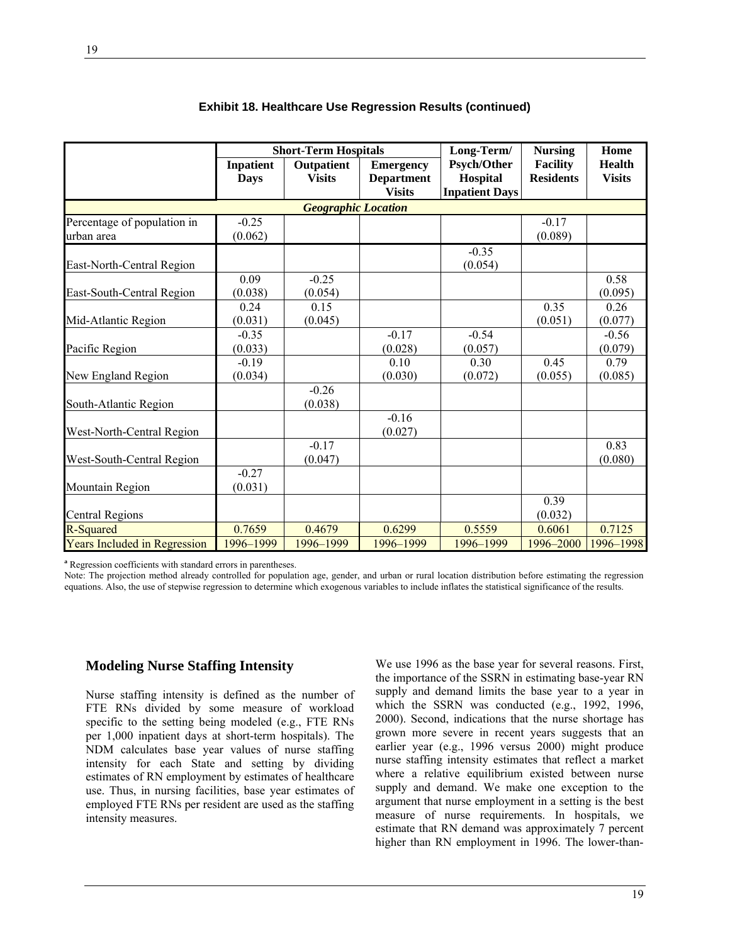|                                     |                  | <b>Short-Term Hospitals</b> |                   | Long-Term/            | <b>Nursing</b>   | Home          |
|-------------------------------------|------------------|-----------------------------|-------------------|-----------------------|------------------|---------------|
|                                     | <b>Inpatient</b> | Outpatient                  | <b>Emergency</b>  | <b>Psych/Other</b>    | <b>Facility</b>  | <b>Health</b> |
|                                     | <b>Days</b>      | <b>Visits</b>               | <b>Department</b> | Hospital              | <b>Residents</b> | <b>Visits</b> |
|                                     |                  |                             | <b>Visits</b>     | <b>Inpatient Days</b> |                  |               |
|                                     |                  | <b>Geographic Location</b>  |                   |                       |                  |               |
| Percentage of population in         | $-0.25$          |                             |                   |                       | $-0.17$          |               |
| urban area                          | (0.062)          |                             |                   |                       | (0.089)          |               |
|                                     |                  |                             |                   | $-0.35$               |                  |               |
| East-North-Central Region           |                  |                             |                   | (0.054)               |                  |               |
|                                     | 0.09             | $-0.25$                     |                   |                       |                  | 0.58          |
| East-South-Central Region           | (0.038)          | (0.054)                     |                   |                       |                  | (0.095)       |
|                                     | 0.24             | 0.15                        |                   |                       | 0.35             | 0.26          |
| Mid-Atlantic Region                 | (0.031)          | (0.045)                     |                   |                       | (0.051)          | (0.077)       |
|                                     | $-0.35$          |                             | $-0.17$           | $-0.54$               |                  | $-0.56$       |
| Pacific Region                      | (0.033)          |                             | (0.028)           | (0.057)               |                  | (0.079)       |
|                                     | $-0.19$          |                             | 0.10              | 0.30                  | 0.45             | 0.79          |
| New England Region                  | (0.034)          |                             | (0.030)           | (0.072)               | (0.055)          | (0.085)       |
|                                     |                  | $-0.26$                     |                   |                       |                  |               |
| South-Atlantic Region               |                  | (0.038)                     |                   |                       |                  |               |
|                                     |                  |                             | $-0.16$           |                       |                  |               |
| West-North-Central Region           |                  |                             | (0.027)           |                       |                  |               |
|                                     |                  | $-0.17$                     |                   |                       |                  | 0.83          |
| West-South-Central Region           |                  | (0.047)                     |                   |                       |                  | (0.080)       |
|                                     | $-0.27$          |                             |                   |                       |                  |               |
| Mountain Region                     | (0.031)          |                             |                   |                       |                  |               |
|                                     |                  |                             |                   |                       | 0.39             |               |
| <b>Central Regions</b>              |                  |                             |                   |                       | (0.032)          |               |
| R-Squared                           | 0.7659           | 0.4679                      | 0.6299            | 0.5559                | 0.6061           | 0.7125        |
| <b>Years Included in Regression</b> | 1996-1999        | 1996-1999                   | 1996-1999         | 1996-1999             | 1996-2000        | 1996-1998     |

#### **Exhibit 18. Healthcare Use Regression Results (continued)**

**a** Regression coefficients with standard errors in parentheses.

Note: The projection method already controlled for population age, gender, and urban or rural location distribution before estimating the regression equations. Also, the use of stepwise regression to determine which exogenous variables to include inflates the statistical significance of the results.

#### **Modeling Nurse Staffing Intensity**

Nurse staffing intensity is defined as the number of FTE RNs divided by some measure of workload specific to the setting being modeled (e.g., FTE RNs per 1,000 inpatient days at short-term hospitals). The NDM calculates base year values of nurse staffing intensity for each State and setting by dividing estimates of RN employment by estimates of healthcare use. Thus, in nursing facilities, base year estimates of employed FTE RNs per resident are used as the staffing intensity measures.

We use 1996 as the base year for several reasons. First, the importance of the SSRN in estimating base-year RN supply and demand limits the base year to a year in which the SSRN was conducted (e.g., 1992, 1996, 2000). Second, indications that the nurse shortage has grown more severe in recent years suggests that an earlier year (e.g., 1996 versus 2000) might produce nurse staffing intensity estimates that reflect a market where a relative equilibrium existed between nurse supply and demand. We make one exception to the argument that nurse employment in a setting is the best measure of nurse requirements. In hospitals, we estimate that RN demand was approximately 7 percent higher than RN employment in 1996. The lower-than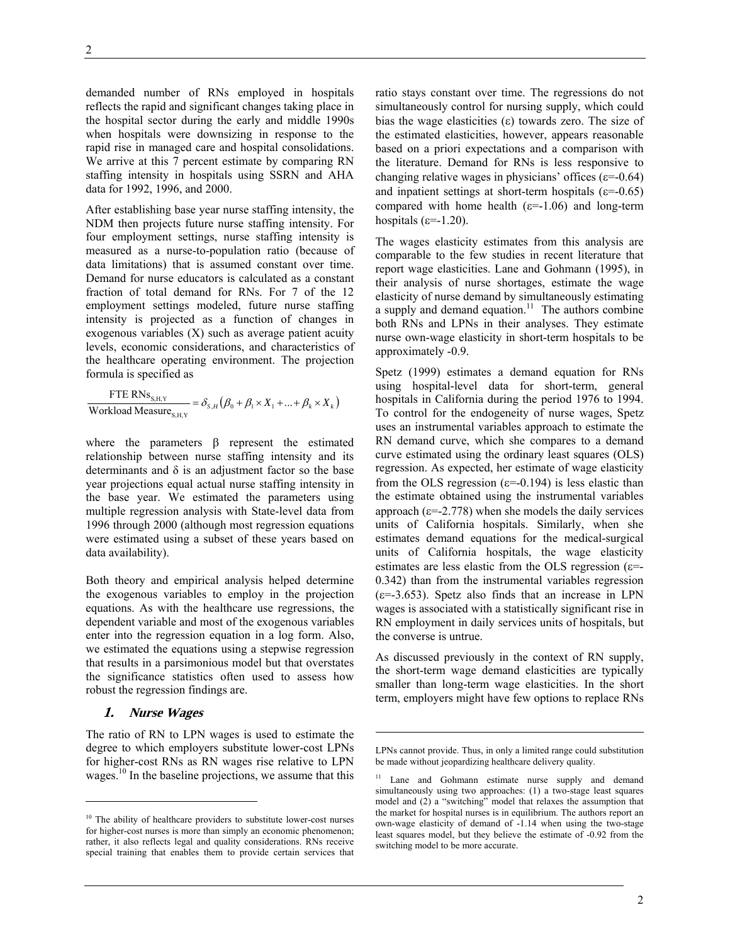demanded number of RNs employed in hospitals reflects the rapid and significant changes taking place in the hospital sector during the early and middle 1990s when hospitals were downsizing in response to the rapid rise in managed care and hospital consolidations. We arrive at this 7 percent estimate by comparing RN staffing intensity in hospitals using SSRN and AHA data for 1992, 1996, and 2000.

After establishing base year nurse staffing intensity, the NDM then projects future nurse staffing intensity. For four employment settings, nurse staffing intensity is measured as a nurse-to-population ratio (because of data limitations) that is assumed constant over time. Demand for nurse educators is calculated as a constant fraction of total demand for RNs. For 7 of the 12 employment settings modeled, future nurse staffing intensity is projected as a function of changes in exogenous variables (X) such as average patient acuity levels, economic considerations, and characteristics of the healthcare operating environment. The projection formula is specified as

$$
\frac{\text{FTE RNs}_{\text{S,H,Y}}}{\text{Workload Measure}_{\text{S,H,Y}}} = \delta_{s,H} \left( \beta_0 + \beta_1 \times X_1 + ... + \beta_k \times X_k \right)
$$

where the parameters β represent the estimated relationship between nurse staffing intensity and its determinants and  $\delta$  is an adjustment factor so the base year projections equal actual nurse staffing intensity in the base year. We estimated the parameters using multiple regression analysis with State-level data from 1996 through 2000 (although most regression equations were estimated using a subset of these years based on data availability).

Both theory and empirical analysis helped determine the exogenous variables to employ in the projection equations. As with the healthcare use regressions, the dependent variable and most of the exogenous variables enter into the regression equation in a log form. Also, we estimated the equations using a stepwise regression that results in a parsimonious model but that overstates the significance statistics often used to assess how robust the regression findings are.

#### **1. Nurse Wages**

 $\overline{a}$ 

The ratio of RN to LPN wages is used to estimate the degree to which employers substitute lower-cost LPNs for higher-cost RNs as RN wages rise relative to LPN wages.<sup>10</sup> In the baseline projections, we assume that this

ratio stays constant over time. The regressions do not simultaneously control for nursing supply, which could bias the wage elasticities  $(\varepsilon)$  towards zero. The size of the estimated elasticities, however, appears reasonable based on a priori expectations and a comparison with the literature. Demand for RNs is less responsive to changing relative wages in physicians' offices ( $\varepsilon$ =-0.64) and inpatient settings at short-term hospitals ( $\varepsilon$ =-0.65) compared with home health  $(\epsilon=1.06)$  and long-term hospitals  $(\epsilon=-1.20)$ .

The wages elasticity estimates from this analysis are comparable to the few studies in recent literature that report wage elasticities. Lane and Gohmann (1995), in their analysis of nurse shortages, estimate the wage elasticity of nurse demand by simultaneously estimating a supply and demand equation.<sup>11</sup> The authors combine both RNs and LPNs in their analyses. They estimate nurse own-wage elasticity in short-term hospitals to be approximately -0.9.

Spetz (1999) estimates a demand equation for RNs using hospital-level data for short-term, general hospitals in California during the period 1976 to 1994. To control for the endogeneity of nurse wages, Spetz uses an instrumental variables approach to estimate the RN demand curve, which she compares to a demand curve estimated using the ordinary least squares (OLS) regression. As expected, her estimate of wage elasticity from the OLS regression ( $\varepsilon$ =-0.194) is less elastic than the estimate obtained using the instrumental variables approach ( $\varepsilon$ =-2.778) when she models the daily services units of California hospitals. Similarly, when she estimates demand equations for the medical-surgical units of California hospitals, the wage elasticity estimates are less elastic from the OLS regression ( $\varepsilon$ =-0.342) than from the instrumental variables regression  $(\epsilon = -3.653)$ . Spetz also finds that an increase in LPN wages is associated with a statistically significant rise in RN employment in daily services units of hospitals, but the converse is untrue.

As discussed previously in the context of RN supply, the short-term wage demand elasticities are typically smaller than long-term wage elasticities. In the short term, employers might have few options to replace RNs

-

<sup>&</sup>lt;sup>10</sup> The ability of healthcare providers to substitute lower-cost nurses for higher-cost nurses is more than simply an economic phenomenon; rather, it also reflects legal and quality considerations. RNs receive special training that enables them to provide certain services that

LPNs cannot provide. Thus, in only a limited range could substitution be made without jeopardizing healthcare delivery quality.

<sup>&</sup>lt;sup>11</sup> Lane and Gohmann estimate nurse supply and demand simultaneously using two approaches: (1) a two-stage least squares model and (2) a "switching" model that relaxes the assumption that the market for hospital nurses is in equilibrium. The authors report an own-wage elasticity of demand of -1.14 when using the two-stage least squares model, but they believe the estimate of -0.92 from the switching model to be more accurate.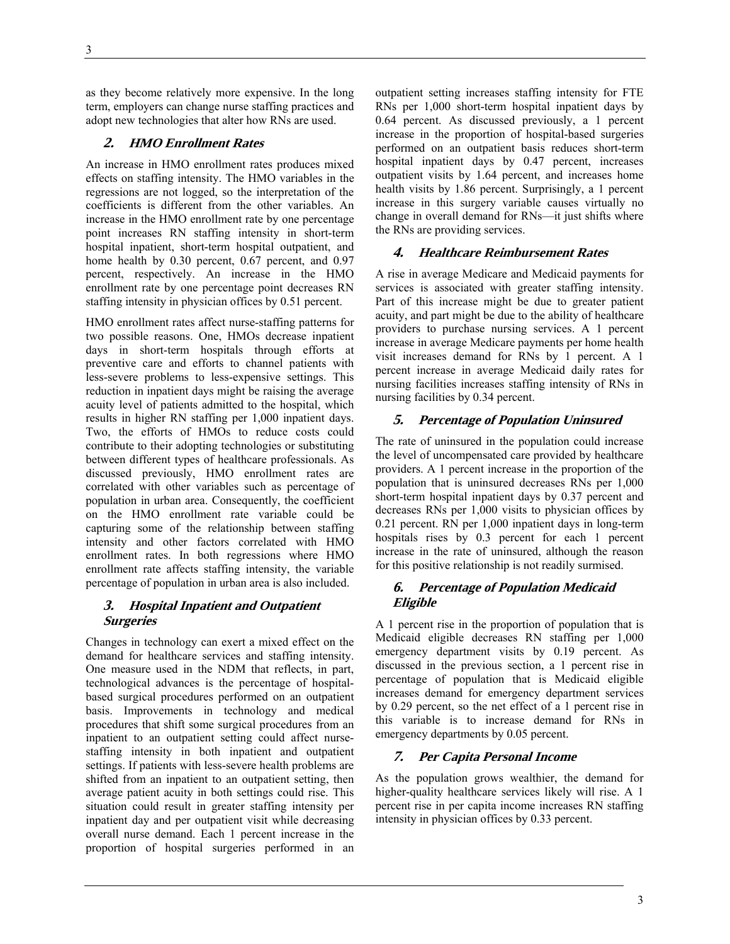as they become relatively more expensive. In the long term, employers can change nurse staffing practices and adopt new technologies that alter how RNs are used.

#### **2. HMO Enrollment Rates**

An increase in HMO enrollment rates produces mixed effects on staffing intensity. The HMO variables in the regressions are not logged, so the interpretation of the coefficients is different from the other variables. An increase in the HMO enrollment rate by one percentage point increases RN staffing intensity in short-term hospital inpatient, short-term hospital outpatient, and home health by 0.30 percent, 0.67 percent, and 0.97 percent, respectively. An increase in the HMO enrollment rate by one percentage point decreases RN staffing intensity in physician offices by 0.51 percent.

HMO enrollment rates affect nurse-staffing patterns for two possible reasons. One, HMOs decrease inpatient days in short-term hospitals through efforts at preventive care and efforts to channel patients with less-severe problems to less-expensive settings. This reduction in inpatient days might be raising the average acuity level of patients admitted to the hospital, which results in higher RN staffing per 1,000 inpatient days. Two, the efforts of HMOs to reduce costs could contribute to their adopting technologies or substituting between different types of healthcare professionals. As discussed previously, HMO enrollment rates are correlated with other variables such as percentage of population in urban area. Consequently, the coefficient on the HMO enrollment rate variable could be capturing some of the relationship between staffing intensity and other factors correlated with HMO enrollment rates. In both regressions where HMO enrollment rate affects staffing intensity, the variable percentage of population in urban area is also included.

#### **3. Hospital Inpatient and Outpatient Surgeries**

Changes in technology can exert a mixed effect on the demand for healthcare services and staffing intensity. One measure used in the NDM that reflects, in part, technological advances is the percentage of hospitalbased surgical procedures performed on an outpatient basis. Improvements in technology and medical procedures that shift some surgical procedures from an inpatient to an outpatient setting could affect nursestaffing intensity in both inpatient and outpatient settings. If patients with less-severe health problems are shifted from an inpatient to an outpatient setting, then average patient acuity in both settings could rise. This situation could result in greater staffing intensity per inpatient day and per outpatient visit while decreasing overall nurse demand. Each 1 percent increase in the proportion of hospital surgeries performed in an

outpatient setting increases staffing intensity for FTE RNs per 1,000 short-term hospital inpatient days by 0.64 percent. As discussed previously, a 1 percent increase in the proportion of hospital-based surgeries performed on an outpatient basis reduces short-term hospital inpatient days by 0.47 percent, increases outpatient visits by 1.64 percent, and increases home health visits by 1.86 percent. Surprisingly, a 1 percent increase in this surgery variable causes virtually no change in overall demand for RNs—it just shifts where the RNs are providing services.

#### **4. Healthcare Reimbursement Rates**

A rise in average Medicare and Medicaid payments for services is associated with greater staffing intensity. Part of this increase might be due to greater patient acuity, and part might be due to the ability of healthcare providers to purchase nursing services. A 1 percent increase in average Medicare payments per home health visit increases demand for RNs by 1 percent. A 1 percent increase in average Medicaid daily rates for nursing facilities increases staffing intensity of RNs in nursing facilities by 0.34 percent.

#### **5. Percentage of Population Uninsured**

The rate of uninsured in the population could increase the level of uncompensated care provided by healthcare providers. A 1 percent increase in the proportion of the population that is uninsured decreases RNs per 1,000 short-term hospital inpatient days by 0.37 percent and decreases RNs per 1,000 visits to physician offices by 0.21 percent. RN per 1,000 inpatient days in long-term hospitals rises by 0.3 percent for each 1 percent increase in the rate of uninsured, although the reason for this positive relationship is not readily surmised.

#### **6. Percentage of Population Medicaid Eligible**

A 1 percent rise in the proportion of population that is Medicaid eligible decreases RN staffing per 1,000 emergency department visits by 0.19 percent. As discussed in the previous section, a 1 percent rise in percentage of population that is Medicaid eligible increases demand for emergency department services by 0.29 percent, so the net effect of a 1 percent rise in this variable is to increase demand for RNs in emergency departments by 0.05 percent.

#### **7. Per Capita Personal Income**

As the population grows wealthier, the demand for higher-quality healthcare services likely will rise. A 1 percent rise in per capita income increases RN staffing intensity in physician offices by 0.33 percent.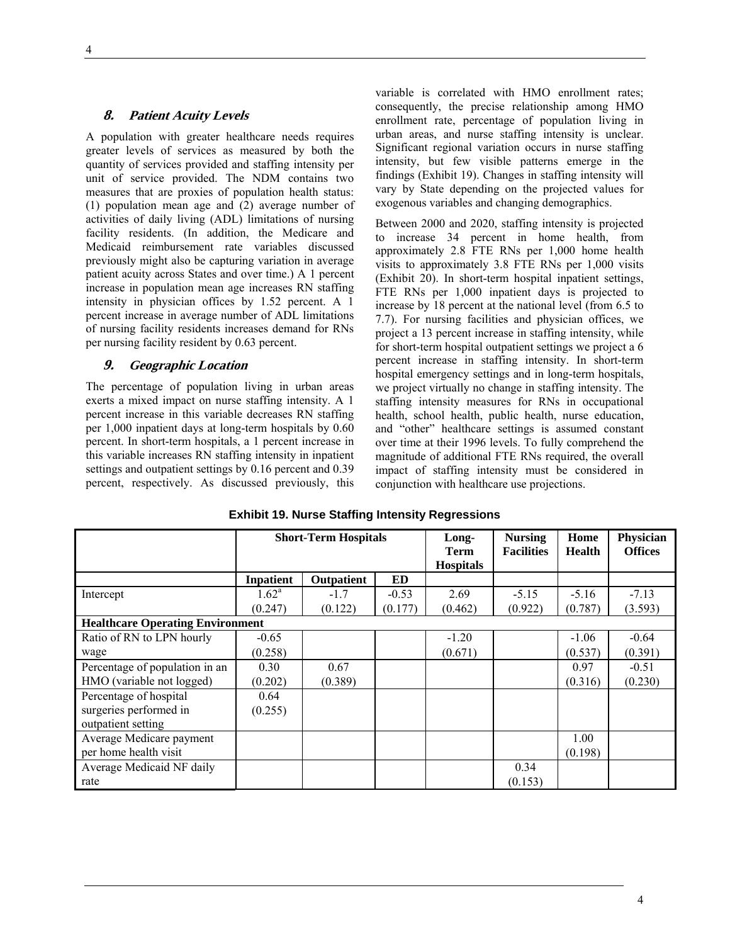#### **8. Patient Acuity Levels**

A population with greater healthcare needs requires greater levels of services as measured by both the quantity of services provided and staffing intensity per unit of service provided. The NDM contains two measures that are proxies of population health status: (1) population mean age and (2) average number of activities of daily living (ADL) limitations of nursing facility residents. (In addition, the Medicare and Medicaid reimbursement rate variables discussed previously might also be capturing variation in average patient acuity across States and over time.) A 1 percent increase in population mean age increases RN staffing intensity in physician offices by 1.52 percent. A 1 percent increase in average number of ADL limitations of nursing facility residents increases demand for RNs per nursing facility resident by 0.63 percent.

#### **9. Geographic Location**

The percentage of population living in urban areas exerts a mixed impact on nurse staffing intensity. A 1 percent increase in this variable decreases RN staffing per 1,000 inpatient days at long-term hospitals by 0.60 percent. In short-term hospitals, a 1 percent increase in this variable increases RN staffing intensity in inpatient settings and outpatient settings by 0.16 percent and 0.39 percent, respectively. As discussed previously, this

variable is correlated with HMO enrollment rates; consequently, the precise relationship among HMO enrollment rate, percentage of population living in urban areas, and nurse staffing intensity is unclear. Significant regional variation occurs in nurse staffing intensity, but few visible patterns emerge in the findings (Exhibit 19). Changes in staffing intensity will vary by State depending on the projected values for exogenous variables and changing demographics.

Between 2000 and 2020, staffing intensity is projected to increase 34 percent in home health, from approximately 2.8 FTE RNs per 1,000 home health visits to approximately 3.8 FTE RNs per 1,000 visits (Exhibit 20). In short-term hospital inpatient settings, FTE RNs per 1,000 inpatient days is projected to increase by 18 percent at the national level (from 6.5 to 7.7). For nursing facilities and physician offices, we project a 13 percent increase in staffing intensity, while for short-term hospital outpatient settings we project a 6 percent increase in staffing intensity. In short-term hospital emergency settings and in long-term hospitals, we project virtually no change in staffing intensity. The staffing intensity measures for RNs in occupational health, school health, public health, nurse education, and "other" healthcare settings is assumed constant over time at their 1996 levels. To fully comprehend the magnitude of additional FTE RNs required, the overall impact of staffing intensity must be considered in conjunction with healthcare use projections.

|                                         | <b>Short-Term Hospitals</b> |            |         | Long-<br><b>Term</b> | <b>Nursing</b><br><b>Facilities</b> | Home<br><b>Health</b> | Physician<br><b>Offices</b> |
|-----------------------------------------|-----------------------------|------------|---------|----------------------|-------------------------------------|-----------------------|-----------------------------|
|                                         |                             |            |         | <b>Hospitals</b>     |                                     |                       |                             |
|                                         | <b>Inpatient</b>            | Outpatient | ED      |                      |                                     |                       |                             |
| Intercept                               | $1.62^a$                    | $-1.7$     | $-0.53$ | 2.69                 | $-5.15$                             | $-5.16$               | $-7.13$                     |
|                                         | (0.247)                     | (0.122)    | (0.177) | (0.462)              | (0.922)                             | (0.787)               | (3.593)                     |
| <b>Healthcare Operating Environment</b> |                             |            |         |                      |                                     |                       |                             |
| Ratio of RN to LPN hourly               | $-0.65$                     |            |         | $-1.20$              |                                     | $-1.06$               | $-0.64$                     |
| wage                                    | (0.258)                     |            |         | (0.671)              |                                     | (0.537)               | (0.391)                     |
| Percentage of population in an          | 0.30                        | 0.67       |         |                      |                                     | 0.97                  | $-0.51$                     |
| HMO (variable not logged)               | (0.202)                     | (0.389)    |         |                      |                                     | (0.316)               | (0.230)                     |
| Percentage of hospital                  | 0.64                        |            |         |                      |                                     |                       |                             |
| surgeries performed in                  | (0.255)                     |            |         |                      |                                     |                       |                             |
| outpatient setting                      |                             |            |         |                      |                                     |                       |                             |
| Average Medicare payment                |                             |            |         |                      |                                     | 1.00                  |                             |
| per home health visit                   |                             |            |         |                      |                                     | (0.198)               |                             |
| Average Medicaid NF daily               |                             |            |         |                      | 0.34                                |                       |                             |
| rate                                    |                             |            |         |                      | (0.153)                             |                       |                             |

#### **Exhibit 19. Nurse Staffing Intensity Regressions**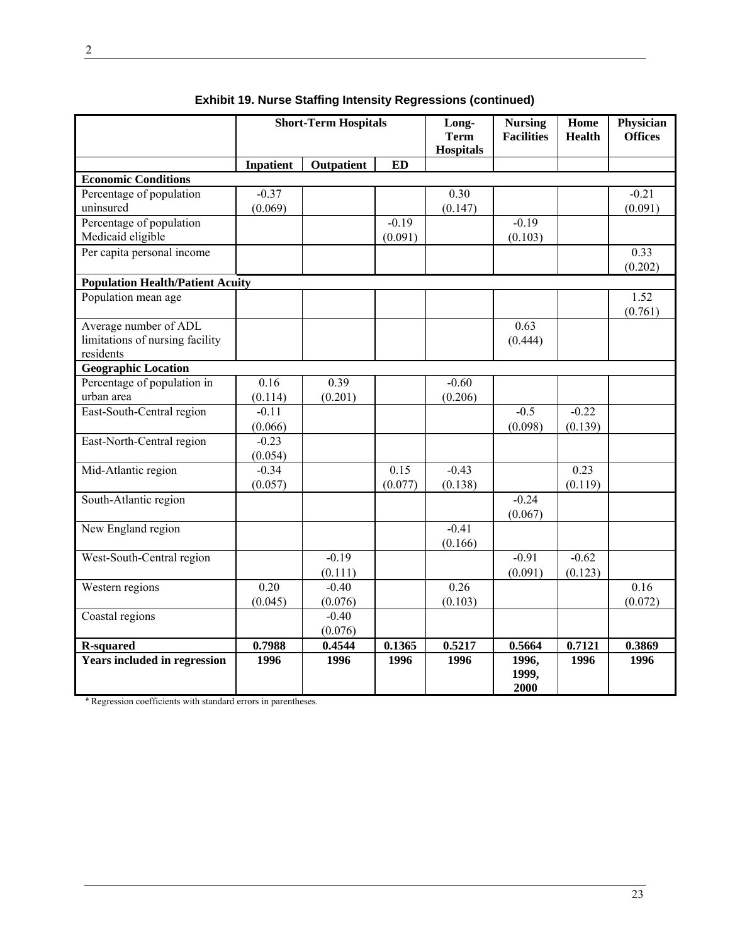|                                         | <b>Short-Term Hospitals</b> |                   | Long-<br><b>Term</b><br><b>Hospitals</b> | <b>Nursing</b><br><b>Facilities</b> | Home<br><b>Health</b>  | Physician<br><b>Offices</b> |         |
|-----------------------------------------|-----------------------------|-------------------|------------------------------------------|-------------------------------------|------------------------|-----------------------------|---------|
|                                         | <b>Inpatient</b>            | <b>Outpatient</b> | <b>ED</b>                                |                                     |                        |                             |         |
| <b>Economic Conditions</b>              |                             |                   |                                          |                                     |                        |                             |         |
| Percentage of population                | $-0.37$                     |                   |                                          | 0.30                                |                        |                             | $-0.21$ |
| uninsured                               | (0.069)                     |                   |                                          | (0.147)                             |                        |                             | (0.091) |
| Percentage of population                |                             |                   | $-0.19$                                  |                                     | $-0.19$                |                             |         |
| Medicaid eligible                       |                             |                   | (0.091)                                  |                                     | (0.103)                |                             |         |
| Per capita personal income              |                             |                   |                                          |                                     |                        |                             | 0.33    |
|                                         |                             |                   |                                          |                                     |                        |                             | (0.202) |
| <b>Population Health/Patient Acuity</b> |                             |                   |                                          |                                     |                        |                             |         |
| Population mean age                     |                             |                   |                                          |                                     |                        |                             | 1.52    |
|                                         |                             |                   |                                          |                                     |                        |                             | (0.761) |
| Average number of ADL                   |                             |                   |                                          |                                     | 0.63                   |                             |         |
| limitations of nursing facility         |                             |                   |                                          |                                     | (0.444)                |                             |         |
| residents                               |                             |                   |                                          |                                     |                        |                             |         |
| <b>Geographic Location</b>              |                             |                   |                                          |                                     |                        |                             |         |
| Percentage of population in             | 0.16                        | 0.39              |                                          | $-0.60$                             |                        |                             |         |
| urban area                              | (0.114)                     | (0.201)           |                                          | (0.206)                             |                        |                             |         |
| East-South-Central region               | $-0.11$                     |                   |                                          |                                     | $-0.5$                 | $-0.22$                     |         |
|                                         | (0.066)                     |                   |                                          |                                     | (0.098)                | (0.139)                     |         |
| East-North-Central region               | $-0.23$                     |                   |                                          |                                     |                        |                             |         |
|                                         | (0.054)                     |                   |                                          |                                     |                        |                             |         |
| Mid-Atlantic region                     | $-0.34$                     |                   | 0.15                                     | $-0.43$                             |                        | 0.23                        |         |
|                                         | (0.057)                     |                   | (0.077)                                  | (0.138)                             |                        | (0.119)                     |         |
| South-Atlantic region                   |                             |                   |                                          |                                     | $-0.24$                |                             |         |
|                                         |                             |                   |                                          |                                     | (0.067)                |                             |         |
| New England region                      |                             |                   |                                          | $-0.41$                             |                        |                             |         |
|                                         |                             |                   |                                          | (0.166)                             |                        |                             |         |
| West-South-Central region               |                             | $-0.19$           |                                          |                                     | $-0.91$                | $-0.62$                     |         |
|                                         |                             | (0.111)           |                                          |                                     | (0.091)                | (0.123)                     |         |
| Western regions                         | 0.20                        | $-0.40$           |                                          | 0.26                                |                        |                             | 0.16    |
|                                         | (0.045)                     | (0.076)           |                                          | (0.103)                             |                        |                             | (0.072) |
| Coastal regions                         |                             | $-0.40$           |                                          |                                     |                        |                             |         |
|                                         |                             | (0.076)           |                                          |                                     |                        |                             |         |
| <b>R-squared</b>                        | 0.7988                      | 0.4544            | 0.1365                                   | 0.5217                              | 0.5664                 | 0.7121                      | 0.3869  |
| <b>Years included in regression</b>     | 1996                        | 1996              | 1996                                     | 1996                                | 1996,<br>1999,<br>2000 | 1996                        | 1996    |

**Exhibit 19. Nurse Staffing Intensity Regressions (continued)** 

**a** Regression coefficients with standard errors in parentheses.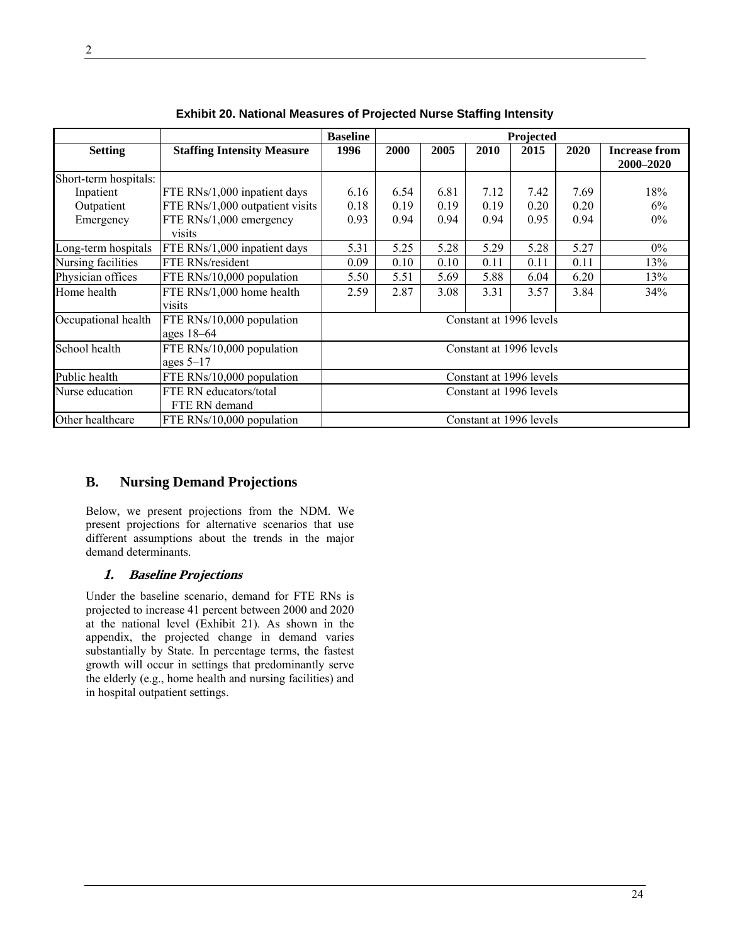|                       |                                   | <b>Baseline</b> |      |      |      | Projected               |      |                                   |
|-----------------------|-----------------------------------|-----------------|------|------|------|-------------------------|------|-----------------------------------|
| <b>Setting</b>        | <b>Staffing Intensity Measure</b> | 1996            | 2000 | 2005 | 2010 | 2015                    | 2020 | <b>Increase from</b><br>2000-2020 |
| Short-term hospitals: |                                   |                 |      |      |      |                         |      |                                   |
| Inpatient             | FTE RNs/1,000 inpatient days      | 6.16            | 6.54 | 6.81 | 7.12 | 7.42                    | 7.69 | 18%                               |
| Outpatient            | FTE RNs/1,000 outpatient visits   | 0.18            | 0.19 | 0.19 | 0.19 | 0.20                    | 0.20 | 6%                                |
| Emergency             | FTE RNs/1,000 emergency           | 0.93            | 0.94 | 0.94 | 0.94 | 0.95                    | 0.94 | $0\%$                             |
|                       | visits                            |                 |      |      |      |                         |      |                                   |
| Long-term hospitals   | FTE RNs/1,000 inpatient days      | 5.31            | 5.25 | 5.28 | 5.29 | 5.28                    | 5.27 | $0\%$                             |
| Nursing facilities    | FTE RNs/resident                  | 0.09            | 0.10 | 0.10 | 0.11 | 0.11                    | 0.11 | 13%                               |
| Physician offices     | FTE RNs/10,000 population         | 5.50            | 5.51 | 5.69 | 5.88 | 6.04                    | 6.20 | 13%                               |
| Home health           | FTE RNs/1,000 home health         | 2.59            | 2.87 | 3.08 | 3.31 | 3.57                    | 3.84 | 34%                               |
|                       | visits                            |                 |      |      |      |                         |      |                                   |
| Occupational health   | FTE RNs/10,000 population         |                 |      |      |      | Constant at 1996 levels |      |                                   |
|                       | ages $18-64$                      |                 |      |      |      |                         |      |                                   |
| School health         | FTE RNs/10,000 population         |                 |      |      |      | Constant at 1996 levels |      |                                   |
|                       | ages $5-17$                       |                 |      |      |      |                         |      |                                   |
| Public health         | FTE RNs/10,000 population         |                 |      |      |      | Constant at 1996 levels |      |                                   |
| Nurse education       | FTE RN educators/total            |                 |      |      |      | Constant at 1996 levels |      |                                   |
|                       | FTE RN demand                     |                 |      |      |      |                         |      |                                   |
| Other healthcare      | FTE RNs/10,000 population         |                 |      |      |      | Constant at 1996 levels |      |                                   |

**Exhibit 20. National Measures of Projected Nurse Staffing Intensity** 

## **B. Nursing Demand Projections**

Below, we present projections from the NDM. We present projections for alternative scenarios that use different assumptions about the trends in the major demand determinants.

#### **1. Baseline Projections**

Under the baseline scenario, demand for FTE RNs is projected to increase 41 percent between 2000 and 2020 at the national level (Exhibit 21). As shown in the appendix, the projected change in demand varies substantially by State. In percentage terms, the fastest growth will occur in settings that predominantly serve the elderly (e.g., home health and nursing facilities) and in hospital outpatient settings.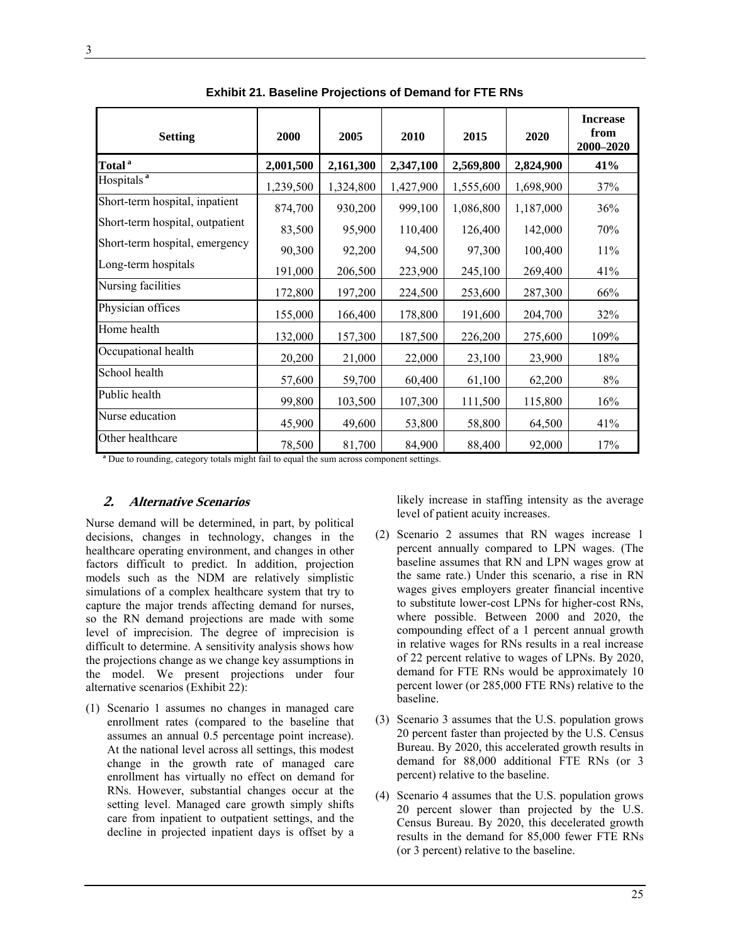| <b>Setting</b>                  | 2000      | 2005      | 2010      | 2015      | 2020      | <b>Increase</b><br>from<br>2000-2020 |
|---------------------------------|-----------|-----------|-----------|-----------|-----------|--------------------------------------|
| Total <sup>a</sup>              | 2,001,500 | 2,161,300 | 2,347,100 | 2,569,800 | 2,824,900 | 41%                                  |
| Hospitals <sup>a</sup>          | 1,239,500 | 1,324,800 | 1,427,900 | 1,555,600 | 1,698,900 | 37%                                  |
| Short-term hospital, inpatient  | 874,700   | 930,200   | 999,100   | 1,086,800 | 1,187,000 | 36%                                  |
| Short-term hospital, outpatient | 83,500    | 95,900    | 110,400   | 126,400   | 142,000   | 70%                                  |
| Short-term hospital, emergency  | 90,300    | 92,200    | 94,500    | 97,300    | 100,400   | 11%                                  |
| Long-term hospitals             | 191,000   | 206,500   | 223,900   | 245,100   | 269,400   | 41%                                  |
| Nursing facilities              | 172,800   | 197,200   | 224,500   | 253,600   | 287,300   | 66%                                  |
| Physician offices               | 155,000   | 166,400   | 178,800   | 191,600   | 204,700   | 32%                                  |
| Home health                     | 132,000   | 157,300   | 187,500   | 226,200   | 275,600   | 109%                                 |
| Occupational health             | 20,200    | 21,000    | 22,000    | 23,100    | 23,900    | 18%                                  |
| School health                   | 57,600    | 59,700    | 60,400    | 61,100    | 62,200    | $8\%$                                |
| Public health                   | 99,800    | 103,500   | 107,300   | 111,500   | 115,800   | 16%                                  |
| Nurse education                 | 45,900    | 49,600    | 53,800    | 58,800    | 64,500    | 41%                                  |
| Other healthcare                | 78,500    | 81,700    | 84,900    | 88,400    | 92,000    | 17%                                  |

**Exhibit 21. Baseline Projections of Demand for FTE RNs** 

<sup>a</sup> Due to rounding, category totals might fail to equal the sum across component settings.

#### **2. Alternative Scenarios**

Nurse demand will be determined, in part, by political decisions, changes in technology, changes in the healthcare operating environment, and changes in other factors difficult to predict. In addition, projection models such as the NDM are relatively simplistic simulations of a complex healthcare system that try to capture the major trends affecting demand for nurses, so the RN demand projections are made with some level of imprecision. The degree of imprecision is difficult to determine. A sensitivity analysis shows how the projections change as we change key assumptions in the model. We present projections under four alternative scenarios (Exhibit 22):

(1) Scenario 1 assumes no changes in managed care enrollment rates (compared to the baseline that assumes an annual 0.5 percentage point increase). At the national level across all settings, this modest change in the growth rate of managed care enrollment has virtually no effect on demand for RNs. However, substantial changes occur at the setting level. Managed care growth simply shifts care from inpatient to outpatient settings, and the decline in projected inpatient days is offset by a

likely increase in staffing intensity as the average level of patient acuity increases.

- (2) Scenario 2 assumes that RN wages increase 1 percent annually compared to LPN wages. (The baseline assumes that RN and LPN wages grow at the same rate.) Under this scenario, a rise in RN wages gives employers greater financial incentive to substitute lower-cost LPNs for higher-cost RNs, where possible. Between 2000 and 2020, the compounding effect of a 1 percent annual growth in relative wages for RNs results in a real increase of 22 percent relative to wages of LPNs. By 2020, demand for FTE RNs would be approximately 10 percent lower (or 285,000 FTE RNs) relative to the baseline.
- (3) Scenario 3 assumes that the U.S. population grows 20 percent faster than projected by the U.S. Census Bureau. By 2020, this accelerated growth results in demand for 88,000 additional FTE RNs (or 3 percent) relative to the baseline.
- (4) Scenario 4 assumes that the U.S. population grows 20 percent slower than projected by the U.S. Census Bureau. By 2020, this decelerated growth results in the demand for 85,000 fewer FTE RNs (or 3 percent) relative to the baseline.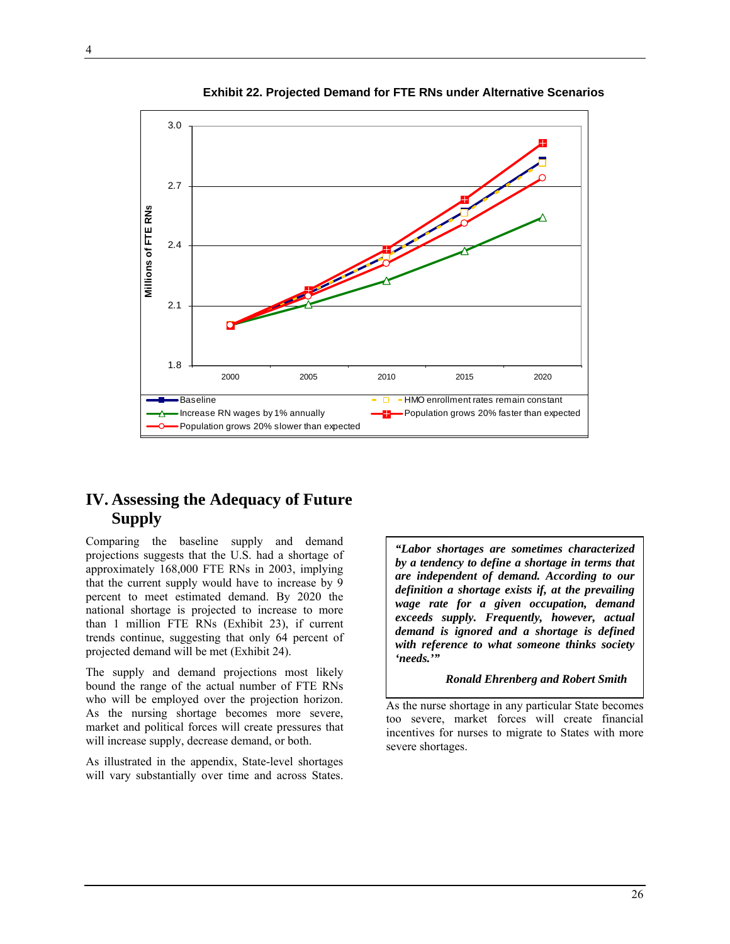

 **Exhibit 22. Projected Demand for FTE RNs under Alternative Scenarios** 

## **IV. Assessing the Adequacy of Future Supply**

Comparing the baseline supply and demand projections suggests that the U.S. had a shortage of approximately 168,000 FTE RNs in 2003, implying that the current supply would have to increase by 9 percent to meet estimated demand. By 2020 the national shortage is projected to increase to more than 1 million FTE RNs (Exhibit 23), if current trends continue, suggesting that only 64 percent of projected demand will be met (Exhibit 24).

The supply and demand projections most likely bound the range of the actual number of FTE RNs who will be employed over the projection horizon. As the nursing shortage becomes more severe, market and political forces will create pressures that will increase supply, decrease demand, or both.

As illustrated in the appendix, State-level shortages will vary substantially over time and across States.

*"Labor shortages are sometimes characterized by a tendency to define a shortage in terms that are independent of demand. According to our definition a shortage exists if, at the prevailing wage rate for a given occupation, demand exceeds supply. Frequently, however, actual demand is ignored and a shortage is defined with reference to what someone thinks society 'needs.'"* 

*Ronald Ehrenberg and Robert Smith* 

As the nurse shortage in any particular State becomes too severe, market forces will create financial incentives for nurses to migrate to States with more severe shortages.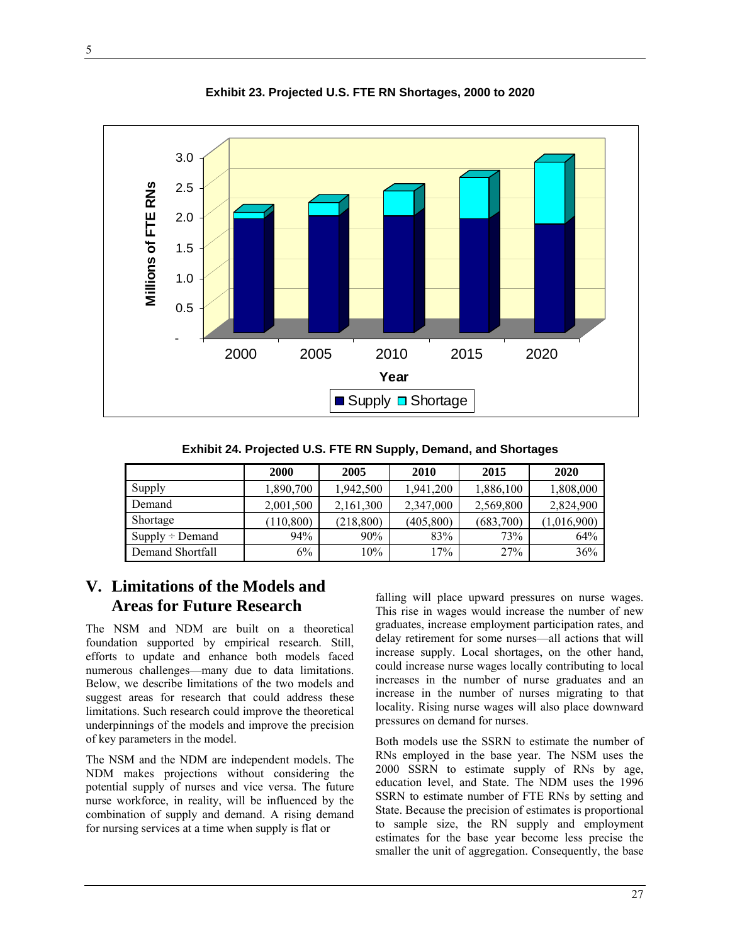

**Exhibit 23. Projected U.S. FTE RN Shortages, 2000 to 2020** 

**Exhibit 24. Projected U.S. FTE RN Supply, Demand, and Shortages** 

|                      | 2000       | 2005       | 2010       | 2015      | 2020        |
|----------------------|------------|------------|------------|-----------|-------------|
| Supply               | 1,890,700  | 1,942,500  | 1,941,200  | 1,886,100 | 1,808,000   |
| Demand               | 2,001,500  | 2,161,300  | 2,347,000  | 2,569,800 | 2,824,900   |
| Shortage             | (110, 800) | (218, 800) | (405, 800) | (683,700) | (1,016,900) |
| $Supply \div Demand$ | 94%        | 90%        | 83%        | 73%       | 64%         |
| Demand Shortfall     | 6%         | 10%        | 17%        | 27%       | 36%         |

## **V. Limitations of the Models and Areas for Future Research**

The NSM and NDM are built on a theoretical foundation supported by empirical research. Still, efforts to update and enhance both models faced numerous challenges—many due to data limitations. Below, we describe limitations of the two models and suggest areas for research that could address these limitations. Such research could improve the theoretical underpinnings of the models and improve the precision of key parameters in the model.

The NSM and the NDM are independent models. The NDM makes projections without considering the potential supply of nurses and vice versa. The future nurse workforce, in reality, will be influenced by the combination of supply and demand. A rising demand for nursing services at a time when supply is flat or

falling will place upward pressures on nurse wages. This rise in wages would increase the number of new graduates, increase employment participation rates, and delay retirement for some nurses—all actions that will increase supply. Local shortages, on the other hand, could increase nurse wages locally contributing to local increases in the number of nurse graduates and an increase in the number of nurses migrating to that locality. Rising nurse wages will also place downward pressures on demand for nurses.

Both models use the SSRN to estimate the number of RNs employed in the base year. The NSM uses the 2000 SSRN to estimate supply of RNs by age, education level, and State. The NDM uses the 1996 SSRN to estimate number of FTE RNs by setting and State. Because the precision of estimates is proportional to sample size, the RN supply and employment estimates for the base year become less precise the smaller the unit of aggregation. Consequently, the base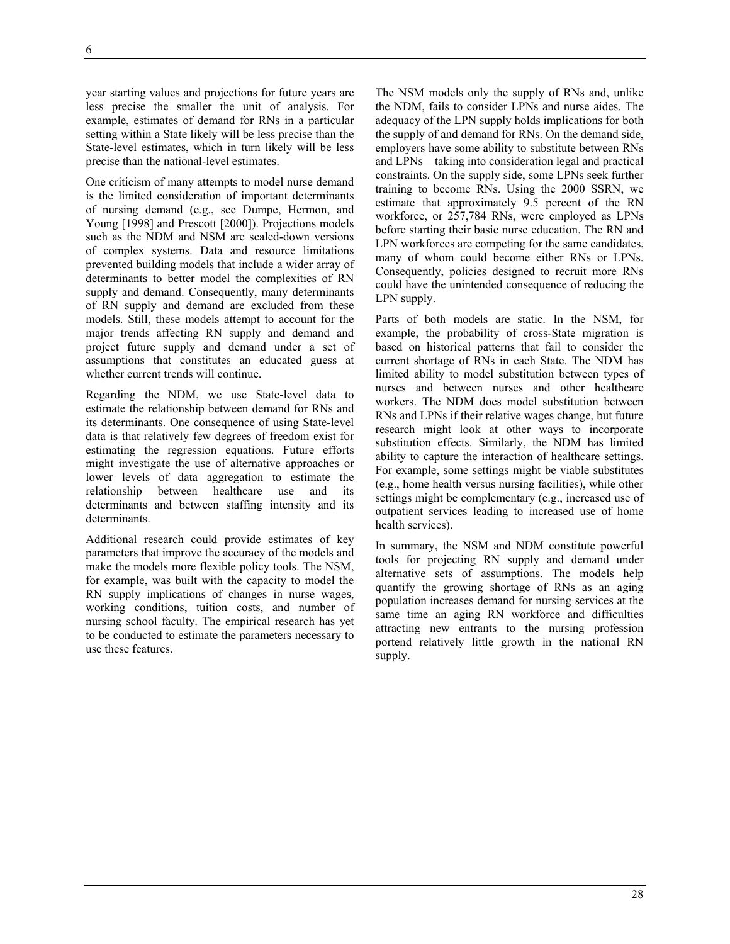year starting values and projections for future years are less precise the smaller the unit of analysis. For example, estimates of demand for RNs in a particular setting within a State likely will be less precise than the State-level estimates, which in turn likely will be less precise than the national-level estimates.

One criticism of many attempts to model nurse demand is the limited consideration of important determinants of nursing demand (e.g., see Dumpe, Hermon, and Young [1998] and Prescott [2000]). Projections models such as the NDM and NSM are scaled-down versions of complex systems. Data and resource limitations prevented building models that include a wider array of determinants to better model the complexities of RN supply and demand. Consequently, many determinants of RN supply and demand are excluded from these models. Still, these models attempt to account for the major trends affecting RN supply and demand and project future supply and demand under a set of assumptions that constitutes an educated guess at whether current trends will continue.

Regarding the NDM, we use State-level data to estimate the relationship between demand for RNs and its determinants. One consequence of using State-level data is that relatively few degrees of freedom exist for estimating the regression equations. Future efforts might investigate the use of alternative approaches or lower levels of data aggregation to estimate the relationship between healthcare use and its determinants and between staffing intensity and its determinants.

Additional research could provide estimates of key parameters that improve the accuracy of the models and make the models more flexible policy tools. The NSM, for example, was built with the capacity to model the RN supply implications of changes in nurse wages, working conditions, tuition costs, and number of nursing school faculty. The empirical research has yet to be conducted to estimate the parameters necessary to use these features.

The NSM models only the supply of RNs and, unlike the NDM, fails to consider LPNs and nurse aides. The adequacy of the LPN supply holds implications for both the supply of and demand for RNs. On the demand side, employers have some ability to substitute between RNs and LPNs—taking into consideration legal and practical constraints. On the supply side, some LPNs seek further training to become RNs. Using the 2000 SSRN, we estimate that approximately 9.5 percent of the RN workforce, or 257,784 RNs, were employed as LPNs before starting their basic nurse education. The RN and LPN workforces are competing for the same candidates, many of whom could become either RNs or LPNs. Consequently, policies designed to recruit more RNs could have the unintended consequence of reducing the LPN supply.

Parts of both models are static. In the NSM, for example, the probability of cross-State migration is based on historical patterns that fail to consider the current shortage of RNs in each State. The NDM has limited ability to model substitution between types of nurses and between nurses and other healthcare workers. The NDM does model substitution between RNs and LPNs if their relative wages change, but future research might look at other ways to incorporate substitution effects. Similarly, the NDM has limited ability to capture the interaction of healthcare settings. For example, some settings might be viable substitutes (e.g., home health versus nursing facilities), while other settings might be complementary (e.g., increased use of outpatient services leading to increased use of home health services).

In summary, the NSM and NDM constitute powerful tools for projecting RN supply and demand under alternative sets of assumptions. The models help quantify the growing shortage of RNs as an aging population increases demand for nursing services at the same time an aging RN workforce and difficulties attracting new entrants to the nursing profession portend relatively little growth in the national RN supply.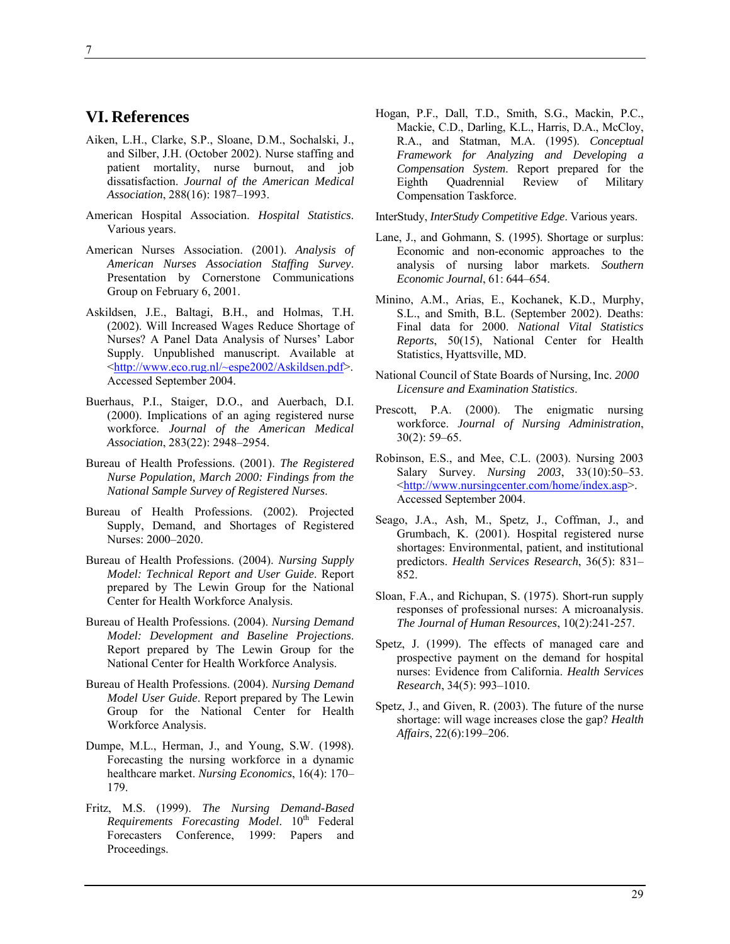## **VI. References**

- Aiken, L.H., Clarke, S.P., Sloane, D.M., Sochalski, J., and Silber, J.H. (October 2002). Nurse staffing and patient mortality, nurse burnout, and job dissatisfaction. *Journal of the American Medical Association*, 288(16): 1987–1993.
- American Hospital Association. *Hospital Statistics*. Various years.
- American Nurses Association. (2001). *Analysis of American Nurses Association Staffing Survey*. Presentation by Cornerstone Communications Group on February 6, 2001.
- Askildsen, J.E., Baltagi, B.H., and Holmas, T.H. (2002). Will Increased Wages Reduce Shortage of Nurses? A Panel Data Analysis of Nurses' Labor Supply. Unpublished manuscript. Available at <http://www.eco.rug.nl/~espe2002/Askildsen.pdf>. Accessed September 2004.
- Buerhaus, P.I., Staiger, D.O., and Auerbach, D.I. (2000). Implications of an aging registered nurse workforce. *Journal of the American Medical Association*, 283(22): 2948–2954.
- Bureau of Health Professions. (2001). *The Registered Nurse Population, March 2000: Findings from the National Sample Survey of Registered Nurses*.
- Bureau of Health Professions. (2002). Projected Supply, Demand, and Shortages of Registered Nurses: 2000–2020.
- Bureau of Health Professions. (2004). *Nursing Supply Model: Technical Report and User Guide*. Report prepared by The Lewin Group for the National Center for Health Workforce Analysis.
- Bureau of Health Professions. (2004). *Nursing Demand Model: Development and Baseline Projections*. Report prepared by The Lewin Group for the National Center for Health Workforce Analysis.
- Bureau of Health Professions. (2004). *Nursing Demand Model User Guide*. Report prepared by The Lewin Group for the National Center for Health Workforce Analysis.
- Dumpe, M.L., Herman, J., and Young, S.W. (1998). Forecasting the nursing workforce in a dynamic healthcare market. *Nursing Economics*, 16(4): 170– 179.
- Fritz, M.S. (1999). *The Nursing Demand-Based Requirements Forecasting Model.* 10<sup>th</sup> Federal Forecasters Conference, 1999: Papers and Proceedings.

Hogan, P.F., Dall, T.D., Smith, S.G., Mackin, P.C., Mackie, C.D., Darling, K.L., Harris, D.A., McCloy, R.A., and Statman, M.A. (1995). *Conceptual Framework for Analyzing and Developing a Compensation System*. Report prepared for the Eighth Quadrennial Review of Military Compensation Taskforce.

InterStudy, *InterStudy Competitive Edge*. Various years.

- Lane, J., and Gohmann, S. (1995). Shortage or surplus: Economic and non-economic approaches to the analysis of nursing labor markets. *Southern Economic Journal*, 61: 644–654.
- Minino, A.M., Arias, E., Kochanek, K.D., Murphy, S.L., and Smith, B.L. (September 2002). Deaths: Final data for 2000. *National Vital Statistics Reports*, 50(15), National Center for Health Statistics, Hyattsville, MD.
- National Council of State Boards of Nursing, Inc. *2000 Licensure and Examination Statistics*.
- Prescott, P.A. (2000). The enigmatic nursing workforce. *Journal of Nursing Administration*, 30(2): 59–65.
- Robinson, E.S., and Mee, C.L. (2003). Nursing 2003 Salary Survey. *Nursing 2003*, 33(10):50–53. <http://www.nursingcenter.com/home/index.asp>. Accessed September 2004.
- Seago, J.A., Ash, M., Spetz, J., Coffman, J., and Grumbach, K. (2001). Hospital registered nurse shortages: Environmental, patient, and institutional predictors. *Health Services Research*, 36(5): 831– 852.
- Sloan, F.A., and Richupan, S. (1975). Short-run supply responses of professional nurses: A microanalysis. *The Journal of Human Resources*, 10(2):241-257.
- Spetz, J. (1999). The effects of managed care and prospective payment on the demand for hospital nurses: Evidence from California. *Health Services Research*, 34(5): 993–1010.
- Spetz, J., and Given, R. (2003). The future of the nurse shortage: will wage increases close the gap? *Health Affairs*, 22(6):199–206.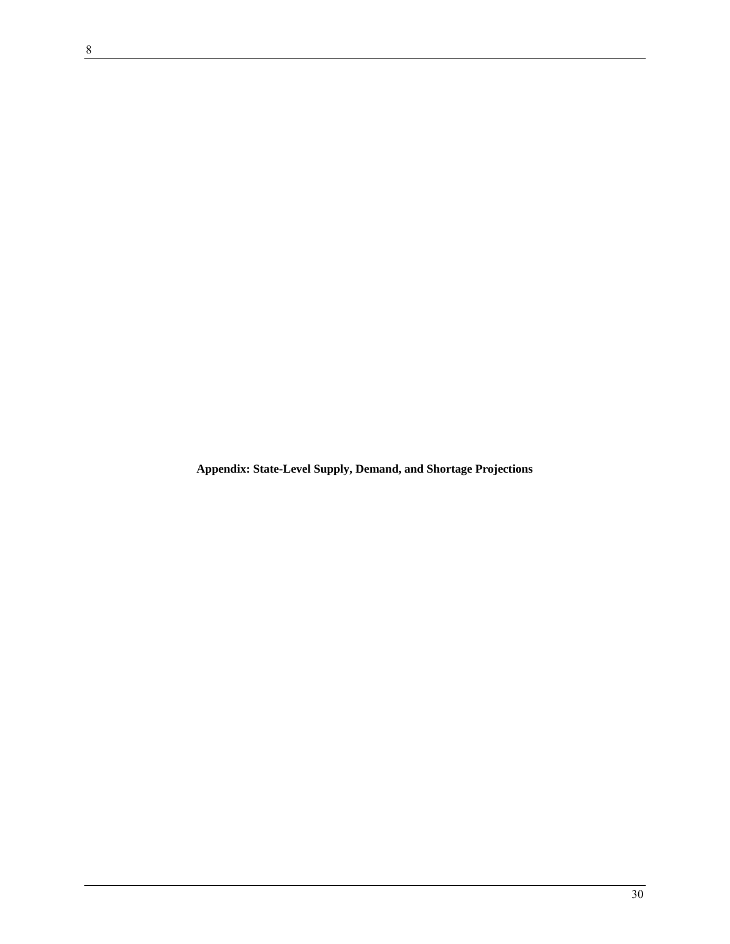**Appendix: State-Level Supply, Demand, and Shortage Projections**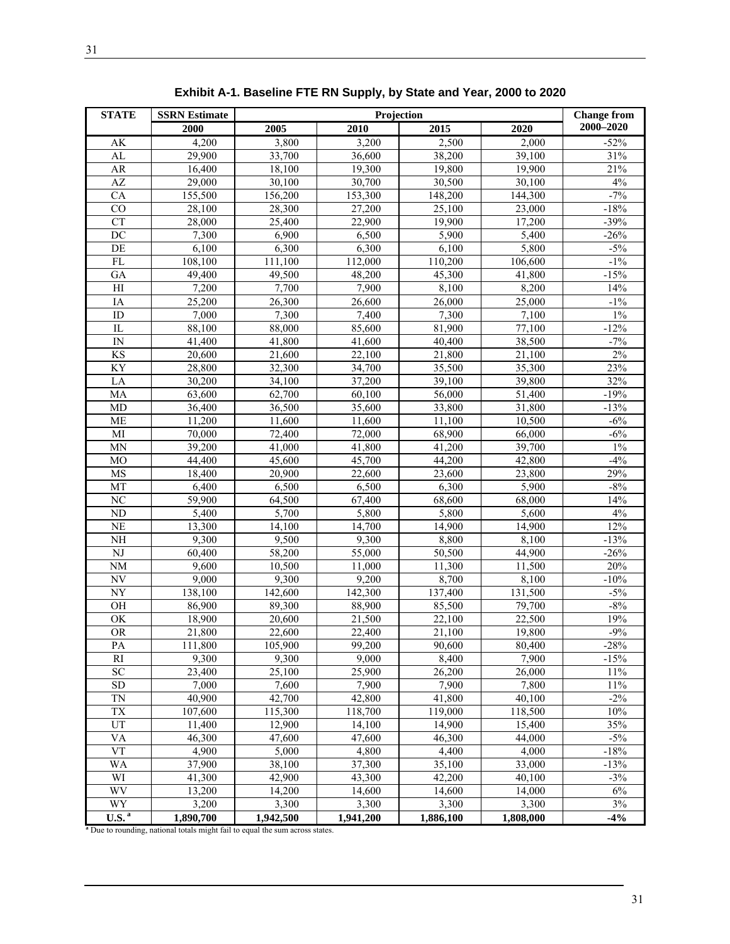| <b>STATE</b>           | <b>SSRN Estimate</b>                                                                       |           | <b>Change from</b> |           |           |           |
|------------------------|--------------------------------------------------------------------------------------------|-----------|--------------------|-----------|-----------|-----------|
|                        | 2000                                                                                       | 2005      | 2010               | 2015      | 2020      | 2000-2020 |
| AK                     | 4,200                                                                                      | 3,800     | 3,200              | 2,500     | 2,000     | $-52%$    |
| AL                     | 29,900                                                                                     | 33,700    | 36,600             | 38,200    | 39,100    | 31%       |
| AR                     | 16,400                                                                                     | 18,100    | 19,300             | 19,800    | 19,900    | 21%       |
| AZ                     | 29,000                                                                                     | 30,100    | 30,700             | 30,500    | 30,100    | 4%        |
| CA                     | 155,500                                                                                    | 156,200   | 153,300            | 148,200   | 144,300   | $-7%$     |
| CO                     | 28,100                                                                                     | 28,300    | 27,200             | 25,100    | 23,000    | $-18%$    |
| <b>CT</b>              | 28,000                                                                                     | 25,400    | 22,900             | 19,900    | 17,200    | $-39%$    |
| DC                     | 7,300                                                                                      | 6,900     | 6,500              | 5,900     | 5,400     | $-26%$    |
| DE                     | 6,100                                                                                      | 6,300     | 6,300              | 6,100     | 5,800     | $-5%$     |
| FL                     | 108,100                                                                                    | 111,100   | 112,000            | 110,200   | 106,600   | $-1\%$    |
| GA                     | 49,400                                                                                     | 49,500    | 48,200             | 45,300    | 41,800    | $-15%$    |
| H                      | 7,200                                                                                      | 7,700     | 7,900              | 8,100     | 8,200     | 14%       |
| IA                     | 25,200                                                                                     | 26,300    | 26,600             | 26,000    | 25,000    | $-1\%$    |
| ID                     | 7,000                                                                                      | 7,300     | 7,400              | 7,300     | 7,100     | $1\%$     |
| $_{\rm IL}$            | 88,100                                                                                     | 88,000    | 85,600             | 81,900    | 77,100    | $-12%$    |
| IN                     | 41,400                                                                                     | 41,800    | 41,600             | 40,400    | 38,500    | $-7%$     |
| KS                     | 20,600                                                                                     | 21,600    | 22,100             | 21,800    | 21,100    | 2%        |
| KY                     | 28,800                                                                                     | 32,300    | 34,700             | 35,500    | 35,300    | 23%       |
| LA                     | 30,200                                                                                     | 34,100    | 37,200             | 39,100    | 39,800    | 32%       |
| MA                     | 63,600                                                                                     | 62,700    | 60,100             | 56,000    | 51,400    | $-19%$    |
| MD                     | 36,400                                                                                     | 36,500    | 35,600             | 33,800    | 31,800    | $-13%$    |
| <b>ME</b>              | 11,200                                                                                     | 11,600    | 11,600             | 11,100    | 10,500    | $-6%$     |
| MI                     | 70,000                                                                                     | 72,400    | 72,000             | 68,900    | 66,000    | $-6%$     |
| <b>MN</b>              | 39,200                                                                                     | 41,000    | 41,800             | 41,200    | 39,700    | $1\%$     |
| M <sub>O</sub>         | 44,400                                                                                     | 45,600    | 45,700             | 44,200    | 42,800    | $-4%$     |
| MS                     | 18,400                                                                                     | 20,900    | 22,600             | 23,600    | 23,800    | 29%       |
| MT                     | 6,400                                                                                      | 6,500     | 6,500              | 6,300     | 5,900     | $-8%$     |
| NC                     | 59,900                                                                                     | 64,500    | 67,400             | 68,600    | 68,000    | 14%       |
| ND                     | 5,400                                                                                      | 5,700     | 5,800              | 5,800     | 5,600     | 4%        |
| NE                     | 13,300                                                                                     | 14,100    | 14,700             | 14,900    | 14,900    | 12%       |
| $\rm NH$               | 9,300                                                                                      | 9,500     | 9,300              | 8,800     | 8,100     | $-13%$    |
| $\rm{NJ}$              | 60,400                                                                                     | 58,200    | 55,000             | 50,500    | 44,900    | $-26%$    |
| NM                     | 9,600                                                                                      | 10,500    | 11,000             | 11,300    | 11,500    | 20%       |
| $\overline{\text{NV}}$ | 9,000                                                                                      | 9,300     | 9,200              | 8,700     | 8,100     | $-10%$    |
| <b>NY</b>              | 138,100                                                                                    | 142,600   | 142,300            | 137,400   | 131,500   | $-5%$     |
| OH                     | 86,900                                                                                     | 89,300    | 88,900             | 85,500    | 79,700    | $-8%$     |
| OK                     | 18,900                                                                                     | 20,600    | 21,500             | 22,100    | 22,500    | 19%       |
| <b>OR</b>              | 21,800                                                                                     | 22,600    | 22,400             | 21,100    | 19,800    | $-9%$     |
| PA                     | 111,800                                                                                    | 105,900   | 99,200             | 90,600    | 80,400    | $-28%$    |
| RI                     | 9,300                                                                                      | 9,300     | 9,000              | 8,400     | 7,900     | $-15%$    |
| $\overline{SC}$        | 23,400                                                                                     | 25,100    | 25,900             | 26,200    | 26,000    | 11%       |
| ${\rm SD}$             | 7,000                                                                                      | 7,600     | 7,900              | 7,900     | 7,800     | 11%       |
| <b>TN</b>              | 40,900                                                                                     | 42,700    | 42,800             | 41,800    | 40,100    | $-2\%$    |
| ${\rm T}{\rm X}$       | 107,600                                                                                    | 115,300   | 118,700            | 119,000   | 118,500   | 10%       |
| UT                     | 11,400                                                                                     | 12,900    | 14,100             | 14,900    | 15,400    | 35%       |
| VA                     | 46,300                                                                                     | 47,600    | 47,600             | 46,300    | 44,000    | $-5%$     |
| <b>VT</b>              | 4,900                                                                                      | 5,000     | 4,800              | 4,400     | 4,000     | $-18%$    |
| <b>WA</b>              | 37,900                                                                                     | 38,100    | 37,300             | 35,100    | 33,000    | $-13%$    |
| WI                     | 41,300                                                                                     | 42,900    | 43,300             | 42,200    | 40,100    | $-3%$     |
| <b>WV</b>              | 13,200                                                                                     | 14,200    | 14,600             | 14,600    | 14,000    | 6%        |
| WY                     | 3,200                                                                                      | 3,300     | 3,300              | 3,300     | 3,300     | $3\%$     |
| U.S. <sup>a</sup>      | 1,890,700<br>a Due to rounding, national totals might fail to equal the sum across states. | 1,942,500 | 1,941,200          | 1,886,100 | 1,808,000 | $-4%$     |

**Exhibit A-1. Baseline FTE RN Supply, by State and Year, 2000 to 2020**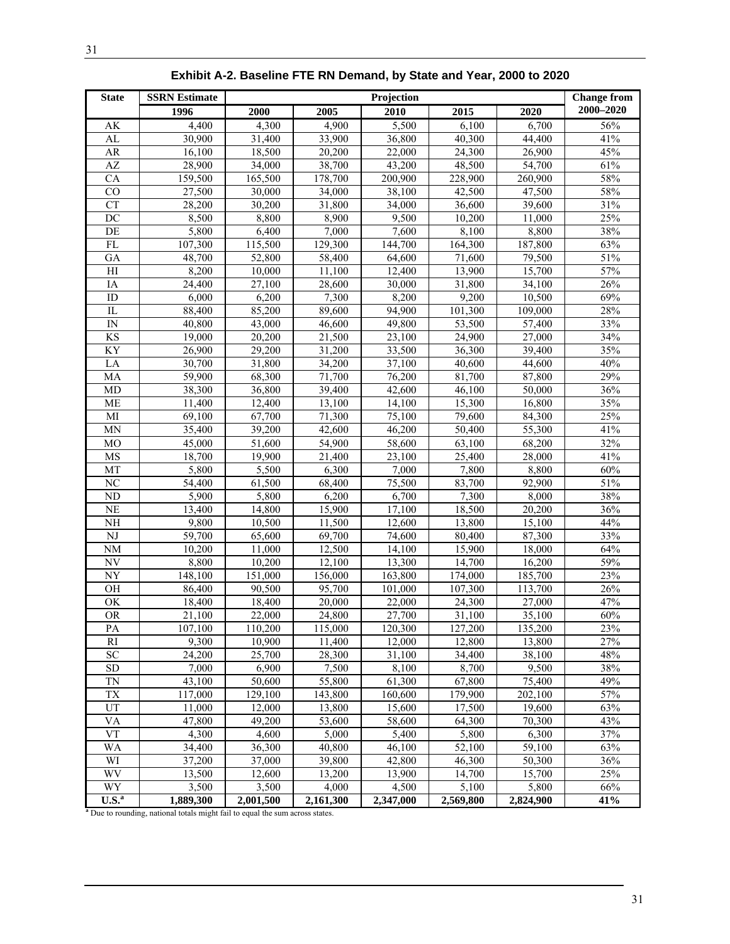| <b>State</b>           | <b>SSRN Estimate</b> |                     | Projection          |         |         |         |           |  |
|------------------------|----------------------|---------------------|---------------------|---------|---------|---------|-----------|--|
|                        | 1996                 | 2000                | 2005                | 2010    | 2015    | 2020    | 2000-2020 |  |
| AK                     | 4,400                | 4,300               | 4,900               | 5,500   | 6,100   | 6,700   | 56%       |  |
| AL                     | 30,900               | 31,400              | 33,900              | 36,800  | 40,300  | 44,400  | 41%       |  |
| AR                     | 16,100               | 18,500              | 20,200              | 22,000  | 24,300  | 26,900  | 45%       |  |
| $\mathbf{A}\mathbf{Z}$ | 28,900               | $\overline{3}4,000$ | 38,700              | 43,200  | 48,500  | 54,700  | 61%       |  |
| CA                     | 159,500              | 165,500             | 178,700             | 200,900 | 228,900 | 260,900 | 58%       |  |
| $\rm CO$               | 27,500               | 30,000              | 34,000              | 38,100  | 42,500  | 47,500  | 58%       |  |
| <b>CT</b>              | 28,200               | 30,200              | 31,800              | 34,000  | 36,600  | 39,600  | 31%       |  |
| $\overline{DC}$        | 8,500                | 8,800               | 8,900               | 9,500   | 10,200  | 11,000  | 25%       |  |
| DE                     | 5,800                | 6,400               | 7,000               | 7,600   | 8,100   | 8,800   | 38%       |  |
| FL                     | 107,300              | 115,500             | 129,300             | 144,700 | 164,300 | 187,800 | 63%       |  |
| GA                     | 48,700               | 52,800              | 58,400              | 64,600  | 71,600  | 79,500  | 51%       |  |
| H                      | 8,200                | 10,000              | 11,100              | 12,400  | 13,900  | 15,700  | 57%       |  |
| IA                     | 24,400               | 27,100              | 28,600              | 30,000  | 31,800  | 34,100  | 26%       |  |
| ID                     | 6,000                | 6,200               | 7,300               | 8,200   | 9,200   | 10,500  | 69%       |  |
| $_{\rm IL}$            | 88,400               | 85,200              | 89,600              | 94,900  | 101,300 | 109,000 | 28%       |  |
| IN                     | 40,800               | 43,000              | 46,600              | 49,800  | 53,500  | 57,400  | 33%       |  |
| <b>KS</b>              | 19,000               | 20,200              | 21,500              | 23,100  | 24,900  | 27,000  | 34%       |  |
| KY                     | 26,900               | 29,200              | 31,200              | 33,500  | 36,300  | 39,400  | 35%       |  |
| LA                     | 30,700               | 31,800              | 34,200              | 37,100  | 40,600  | 44,600  | 40%       |  |
| MA                     | 59,900               | 68,300              | 71,700              | 76,200  | 81,700  | 87,800  | 29%       |  |
| MD                     | 38,300               | 36,800              | 39,400              | 42,600  | 46,100  | 50,000  | 36%       |  |
| <b>ME</b>              | 11,400               | 12,400              | 13,100              | 14,100  | 15,300  | 16,800  | 35%       |  |
| MI                     | 69,100               | 67,700              | 71,300              | 75,100  | 79,600  | 84,300  | 25%       |  |
| <b>MN</b>              | 35,400               | 39,200              | 42,600              | 46,200  | 50,400  | 55,300  | 41%       |  |
| MO                     | 45,000               | 51,600              | $\overline{54,900}$ | 58,600  | 63,100  | 68,200  | 32%       |  |
| MS                     | 18,700               | 19,900              | 21,400              | 23,100  | 25,400  | 28,000  | 41%       |  |
| MT                     | 5,800                | 5,500               | 6,300               | 7,000   | 7,800   | 8,800   | 60%       |  |
| $\overline{\text{NC}}$ | 54,400               | 61,500              | 68,400              | 75,500  | 83,700  | 92,900  | 51%       |  |
| ND                     | 5,900                | 5,800               | 6,200               | 6,700   | 7,300   | 8,000   | 38%       |  |
| <b>NE</b>              | 13,400               | 14,800              | 15,900              | 17,100  | 18,500  | 20,200  | 36%       |  |
| NH                     | 9,800                | 10,500              | 11,500              | 12,600  | 13,800  | 15,100  | 44%       |  |
| $_{\rm NJ}$            | 59,700               | 65,600              | 69,700              | 74,600  | 80,400  | 87,300  | 33%       |  |
| <b>NM</b>              | 10,200               | 11,000              | 12,500              | 14,100  | 15,900  | 18,000  | 64%       |  |
| NV                     | 8,800                | 10,200              | 12,100              | 13,300  | 14,700  | 16,200  | 59%       |  |
| NY                     | 148,100              | 151,000             | 156,000             | 163,800 | 174,000 | 185,700 | 23%       |  |
| OH                     | 86,400               | 90,500              | 95,700              | 101,000 | 107,300 | 113,700 | 26%       |  |
| OK                     | 18,400               | 18,400              | 20,000              | 22,000  | 24,300  | 27,000  | 47%       |  |
| ΟR                     | 21,100               | 22,000              | 24,800              | 27,700  | 31,100  | 35,100  | 60%       |  |
| PA                     | 107,100              | 110,200             | 115,000             | 120,300 | 127,200 | 135,200 | 23%       |  |
| RI                     | 9,300                | 10,900              | 11,400              | 12,000  | 12,800  | 13,800  | 27%       |  |
| SC                     | 24,200               | 25,700              | 28,300              | 31,100  | 34,400  | 38,100  | 48%       |  |
| SD                     | 7,000                | 6,900               | 7,500               | 8,100   | 8,700   | 9,500   | 38%       |  |
| TN                     | 43,100               | 50,600              | 55,800              | 61,300  | 67,800  | 75,400  | 49%       |  |
| <b>TX</b>              | 117,000              | 129,100             | 143,800             | 160,600 | 179,900 | 202,100 | 57%       |  |
| UT                     | 11,000               | 12,000              | 13,800              | 15,600  | 17,500  | 19,600  | 63%       |  |
| VA                     | 47,800               | 49,200              | 53,600              | 58,600  | 64,300  | 70,300  | 43%       |  |
| <b>VT</b>              | 4,300                | 4,600               | 5,000               | 5,400   | 5,800   | 6,300   | 37%       |  |
| <b>WA</b>              | 34,400               | 36,300              | 40,800              | 46,100  | 52,100  | 59,100  | 63%       |  |
| WI                     | 37,200               | 37,000              | 39,800              | 42,800  | 46,300  | 50,300  | 36%       |  |
| <b>WV</b>              | 13,500               | 12,600              | 13,200              | 13,900  | 14,700  | 15,700  | 25%       |  |

WY | 3,500 | 3,500 | 4,000 | 4,500 | 5,100 | 5,800 | 66%

**Exhibit A-2. Baseline FTE RN Demand, by State and Year, 2000 to 2020** 

**1,889,300 2,001,500 2,161,300 2,347,000 2,569,800 2,824,900 41%**<br>a<sup>1</sup> Due to rounding, national totals might fail to equal the sum across states.

**U.S.<sup>a</sup>**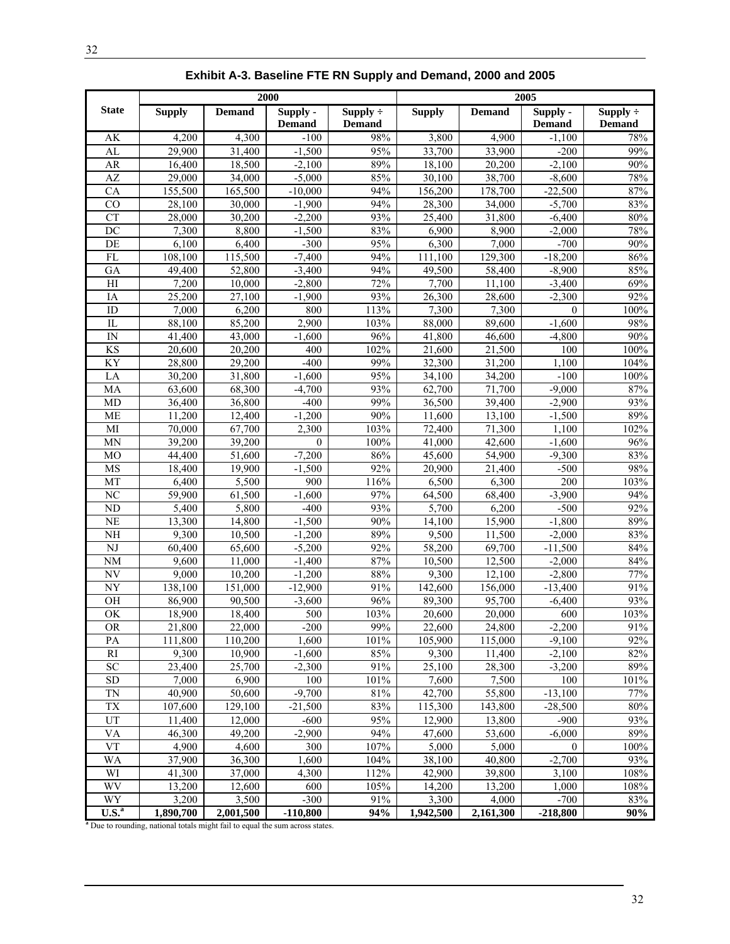|                                     | 2000                                                                          |                  |                           | 2005                           |                     |                  |                           |                                |
|-------------------------------------|-------------------------------------------------------------------------------|------------------|---------------------------|--------------------------------|---------------------|------------------|---------------------------|--------------------------------|
| <b>State</b>                        | <b>Supply</b>                                                                 | <b>Demand</b>    | Supply -<br><b>Demand</b> | Supply $\div$<br><b>Demand</b> | <b>Supply</b>       | <b>Demand</b>    | Supply -<br><b>Demand</b> | Supply $\div$<br><b>Demand</b> |
| AK                                  | 4,200                                                                         | 4,300            | $-100$                    | 98%                            | 3,800               | 4,900            | $-1,100$                  | 78%                            |
| AL                                  | 29,900                                                                        | 31,400           | $-1,500$                  | 95%                            | 33,700              | 33,900           | $-200$                    | 99%                            |
| AR                                  | 16,400                                                                        | 18,500           | $-2,100$                  | 89%                            | 18,100              | 20,200           | $-2,100$                  | 90%                            |
| AZ                                  | 29,000                                                                        | 34,000           | $-5,000$                  | 85%                            | 30,100              | 38,700           | $-8,600$                  | 78%                            |
| CA                                  | 155,500                                                                       | 165,500          | $-10,000$                 | 94%                            | 156,200             | 178,700          | $-22,500$                 | 87%                            |
| CO                                  | 28,100                                                                        | 30,000           | $-1,900$                  | 94%                            | 28,300              | 34,000           | $-5,700$                  | 83%                            |
| <b>CT</b>                           | 28,000                                                                        | 30,200           | $-2,200$                  | 93%                            | 25,400              | 31,800           | $-6,400$                  | 80%                            |
| DC                                  | 7,300                                                                         | 8,800            | $-1,500$                  | 83%                            | 6,900               | 8,900            | $-2,000$                  | 78%                            |
| DE                                  | 6.100                                                                         | 6,400            | $-300$                    | 95%                            | 6,300               | 7,000            | $-700$                    | 90%                            |
| <b>FL</b>                           | 108,100                                                                       | 115,500          | $-7,400$                  | 94%                            | 111,100             | 129,300          | $-18,200$                 | 86%                            |
| GA                                  | 49,400                                                                        | 52,800           | $-3,400$                  | 94%                            | 49,500              | 58,400           | $-8,900$                  | 85%                            |
| H1                                  | 7,200                                                                         | 10,000           | $-2,800$                  | 72%                            | 7,700               | 11,100           | $-3,400$                  | 69%                            |
| IA                                  | 25.200                                                                        | 27.100           | $-1.900$                  | 93%                            | 26,300              | 28,600           | $-2,300$                  | 92%                            |
| ID                                  | 7.000                                                                         | 6,200            | 800                       | 113%                           | 7,300               | 7,300            | $\theta$                  | 100%                           |
| IL                                  | 88,100                                                                        | 85,200           | 2,900                     | 103%                           | 88,000              | 89,600           | $-1,600$                  | 98%                            |
| $\mathbb{N}$                        | 41,400                                                                        | 43,000           | $-1,600$                  | 96%                            | 41,800              | 46,600           | $-4,800$                  | 90%                            |
| <b>KS</b>                           | 20,600                                                                        | 20,200           | 400                       | 102%                           | 21,600              | 21,500           | 100                       | 100%                           |
| <b>KY</b>                           | 28,800                                                                        | 29,200           | $-400$                    | 99%                            | 32,300              | 31,200           | 1,100                     | 104%                           |
| LA                                  | 30,200                                                                        | 31,800           | $-1,600$                  | 95%                            | 34,100              | 34,200           | $-100$                    | 100%                           |
| MA                                  | 63,600                                                                        | 68,300           | $-4.700$                  | 93%                            | 62,700              | 71,700           | $-9,000$                  | 87%                            |
| MD                                  | 36,400                                                                        | 36,800           | $-400$                    | 99%                            | 36,500              | 39.400           | $-2,900$                  | 93%                            |
| <b>ME</b>                           | 11,200                                                                        | 12,400           | $-1,200$                  | 90%                            | 11,600              | 13,100           | $-1,500$                  | 89%                            |
| MI                                  | 70,000                                                                        | 67,700           | 2,300                     | 103%                           | 72,400              | 71,300           | 1,100                     | 102%                           |
| <b>MN</b>                           | 39,200                                                                        | 39,200           | $\mathbf{0}$              | 100%                           | 41,000              | 42,600           | $-1,600$                  | 96%                            |
| M <sub>O</sub>                      | 44,400                                                                        | 51,600           | $-7,200$                  | 86%                            | 45,600              | 54,900           | $-9,300$                  | 83%                            |
| MS                                  | 18,400                                                                        | 19,900           | $-1.500$                  | $\overline{92\%}$              | $\overline{20,900}$ | 21,400           | $-500$                    | 98%                            |
| MT                                  | 6,400                                                                         | 5,500            | 900                       | 116%                           | 6,500               | 6,300            | 200                       | 103%                           |
| N <sub>C</sub>                      | 59,900                                                                        | 61,500           | $-1,600$                  | 97%                            | 64,500              | 68,400           | $-3,900$                  | 94%                            |
| <b>ND</b>                           | 5,400                                                                         | 5,800            | $-400$                    | 93%                            | 5,700               | 6,200            | $-500$                    | 92%                            |
| <b>NE</b>                           | 13,300                                                                        | 14,800           | $-1,500$                  | 90%                            | 14,100              | 15,900           | $-1,800$                  | 89%                            |
| <b>NH</b><br>$\overline{\text{NJ}}$ | 9,300                                                                         | 10,500<br>65,600 | $-1,200$<br>$-5,200$      | 89%<br>92%                     | 9,500<br>58,200     | 11,500<br>69,700 | $-2,000$                  | 83%<br>84%                     |
| <b>NM</b>                           | 60,400<br>9.600                                                               | 11.000           | $-1,400$                  | 87%                            | 10,500              | 12,500           | $-11,500$<br>$-2,000$     | 84%                            |
| NV                                  | 9.000                                                                         | 10,200           | $-1,200$                  | 88%                            | 9,300               | 12,100           | $-2,800$                  | 77%                            |
| NY                                  | 138,100                                                                       | 151,000          | $-12,900$                 | 91%                            | 142,600             | 156,000          | $-13,400$                 | 91%                            |
| OH                                  | 86,900                                                                        | 90,500           | $-3,600$                  | 96%                            | 89,300              | 95,700           | $-6,400$                  | 93%                            |
| $\overline{\rm OK}$                 | 18,900                                                                        | 18,400           | 500                       | 103%                           | 20,600              | 20,000           | 600                       | 103%                           |
| <b>OR</b>                           | 21,800                                                                        | 22,000           | $-200$                    | 99%                            | 22,600              | 24,800           | $-2,200$                  | 91%                            |
| PA                                  | 111,800                                                                       | 110,200          | 1,600                     | 101%                           | 105,900             | 115,000          | $-9,100$                  | 92%                            |
| $\mathbf{R}\mathbf{I}$              | 9,300                                                                         | 10,900           | $-1,600$                  | 85%                            | 9,300               | 11,400           | $-2,100$                  | 82%                            |
| ${\rm SC}$                          | 23,400                                                                        | 25,700           | $-2,300$                  | 91%                            | 25,100              | 28,300           | $-3,200$                  | 89%                            |
| SD                                  | 7,000                                                                         | 6,900            | 100                       | 101%                           | 7,600               | 7,500            | 100                       | 101%                           |
| TN                                  | 40,900                                                                        | 50,600           | $-9,700$                  | $81\%$                         | 42,700              | 55,800           | $-13,100$                 | 77%                            |
| TX                                  | 107,600                                                                       | 129,100          | $-21,500$                 | 83%                            | 115,300             | 143,800          | $-28,500$                 | $80\%$                         |
| UT                                  | 11,400                                                                        | 12,000           | $-600$                    | 95%                            | 12,900              | 13,800           | $-900$                    | 93%                            |
| VA                                  | 46,300                                                                        | 49,200           | $-2.900$                  | 94%                            | 47,600              | 53,600           | $-6,000$                  | 89%                            |
| <b>VT</b>                           | 4,900                                                                         | 4,600            | 300                       | 107%                           | 5,000               | 5,000            | 0                         | $100\%$                        |
| <b>WA</b>                           | 37,900                                                                        | 36,300           | 1,600                     | 104%                           | 38,100              | 40,800           | $-2,700$                  | 93%                            |
| WI                                  | 41,300                                                                        | 37,000           | 4,300                     | 112%                           | 42,900              | 39,800           | 3,100                     | 108%                           |
| WV                                  | 13,200                                                                        | 12,600           | 600                       | 105%                           | 14,200              | 13,200           | 1,000                     | 108%                           |
| WY                                  | 3,200                                                                         | 3,500            | $-300$                    | 91%                            | 3,300               | 4,000            | $-700$                    | 83%                            |
| $\overline{\text{U.S.}^{\text{a}}}$ | 1,890,700                                                                     | 2,001,500        | $-110,800$                | 94%                            | 1,942,500           | 2,161,300        | $-218,800$                | 90%                            |
|                                     | a Due to rounding, national totals might fail to equal the sum across states. |                  |                           |                                |                     |                  |                           |                                |

**Exhibit A-3. Baseline FTE RN Supply and Demand, 2000 and 2005**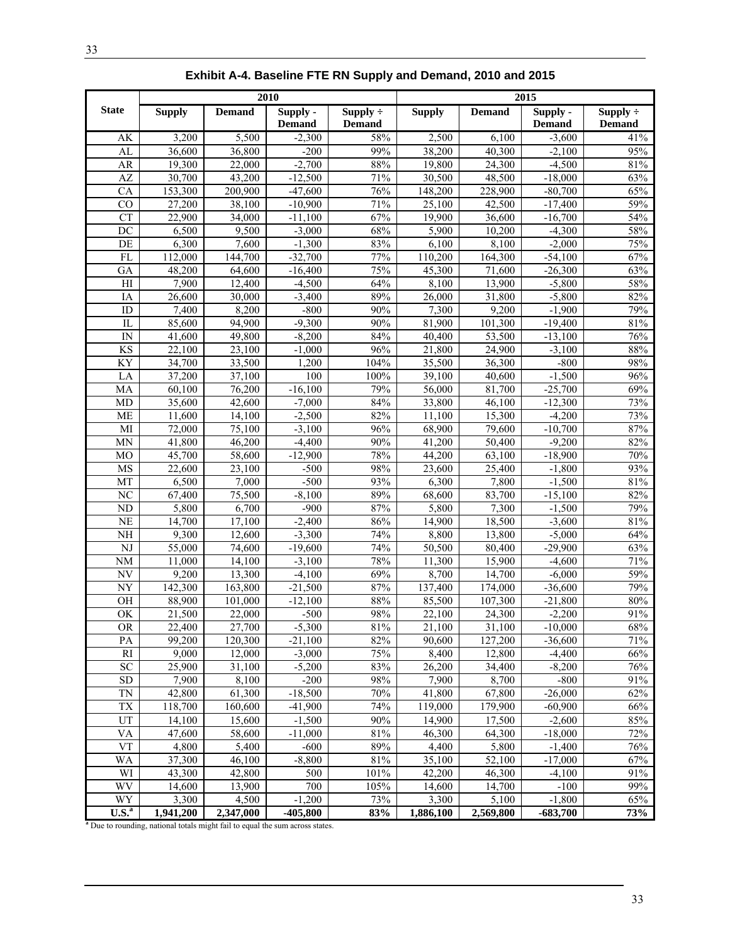|                              | 2010                                                                                     |                   |                           |                                | 2015              |                   |                           |                                |
|------------------------------|------------------------------------------------------------------------------------------|-------------------|---------------------------|--------------------------------|-------------------|-------------------|---------------------------|--------------------------------|
| <b>State</b>                 | <b>Supply</b>                                                                            | <b>Demand</b>     | Supply -<br><b>Demand</b> | Supply $\div$<br><b>Demand</b> | <b>Supply</b>     | <b>Demand</b>     | Supply -<br><b>Demand</b> | Supply $\div$<br><b>Demand</b> |
| AK                           | 3,200                                                                                    | 5,500             | $-2,300$                  | 58%                            | 2,500             | 6,100             | $-3,600$                  | 41%                            |
| AL                           | 36,600                                                                                   | 36,800            | $-200$                    | 99%                            | 38,200            | 40,300            | $-2,100$                  | 95%                            |
| AR                           | 19,300                                                                                   | 22,000            | $-2,700$                  | 88%                            | 19,800            | 24,300            | $-4,500$                  | 81%                            |
| AZ                           | 30,700                                                                                   | 43,200            | $-12,500$                 | 71%                            | 30,500            | 48,500            | $-18,000$                 | 63%                            |
| CA                           | 153,300                                                                                  | 200.900           | $-47,600$                 | 76%                            | 148,200           | 228,900           | $-80,700$                 | 65%                            |
| CO                           | 27,200                                                                                   | 38,100            | $-10,900$                 | 71%                            | 25,100            | 42,500            | $-17,400$                 | 59%                            |
| <b>CT</b>                    | 22,900                                                                                   | 34,000            | $-11,100$                 | 67%                            | 19,900            | 36,600            | $-16,700$                 | 54%                            |
| DC                           | 6,500                                                                                    | 9,500             | $-3,000$                  | 68%                            | 5,900             | 10,200            | $-4,300$                  | 58%                            |
| DE                           | 6,300                                                                                    | 7,600             | $-1,300$                  | 83%                            | 6,100             | 8,100             | $-2,000$                  | 75%                            |
| FL                           | 112,000                                                                                  | 144,700           | $-32,700$                 | 77%                            | 110,200           | 164,300           | $-54,100$                 | 67%                            |
| GA                           | 48,200                                                                                   | 64,600            | $-16,400$                 | 75%                            | 45,300            | 71,600            | $-26,300$                 | 63%                            |
| H                            | 7,900                                                                                    | 12,400            | $-4,500$                  | 64%                            | 8,100             | 13,900            | $-5,800$                  | 58%                            |
| IA                           | 26,600                                                                                   | 30,000            | $-3,400$                  | 89%                            | 26,000            | 31,800            | $-5,800$                  | 82%                            |
| ID                           | 7,400                                                                                    | 8,200             | $-800$                    | 90%                            | 7,300             | 9,200             | $-1,900$                  | 79%                            |
| IL                           | 85,600                                                                                   | 94.900            | $-9,300$                  | 90%                            | 81,900            | 101,300           | $-19,400$                 | 81%                            |
| $\ensuremath{\text{IN}}$     | 41,600                                                                                   | 49,800            | $-8,200$                  | 84%                            | 40,400            | 53,500            | $-13,100$                 | 76%                            |
| <b>KS</b>                    | 22,100                                                                                   | 23,100            | $-1,000$                  | 96%                            | 21,800            | 24,900            | $-3,100$                  | 88%                            |
| KY                           | 34,700                                                                                   | 33,500            | 1,200                     | 104%                           | 35,500            | 36,300            | $-800$                    | 98%                            |
| LA                           | 37,200                                                                                   | 37,100            | 100                       | 100%                           | 39,100            | 40,600            | $-1,500$                  | 96%                            |
| MA                           | 60,100                                                                                   | 76,200            | $-16,100$                 | 79%                            | 56,000            | 81,700            | $-25,700$                 | 69%                            |
| MD                           | $\overline{35,600}$                                                                      | 42,600            | $-7,000$                  | 84%                            | 33,800            | 46,100            | $-12,300$                 | 73%                            |
| <b>ME</b>                    | 11,600                                                                                   | 14,100            | $-2,500$                  | 82%                            | 11,100            | 15,300            | $-4,200$                  | 73%                            |
| MI                           | 72,000                                                                                   | 75,100            | $-3,100$                  | 96%                            | 68,900            | 79,600            | $-10,700$                 | 87%                            |
| MN                           | 41,800                                                                                   | 46,200            | $-4,400$                  | 90%                            | 41,200            | 50,400            | $-9,200$                  | 82%                            |
| <b>MO</b>                    | 45,700                                                                                   | 58,600            | $-12,900$                 | 78%                            | 44,200            | 63,100            | $-18,900$                 | 70%                            |
| MS                           | 22,600                                                                                   | 23,100            | $-500$                    | 98%                            | 23,600            | 25,400            | $-1,800$                  | 93%                            |
| MT                           | 6,500                                                                                    | 7,000             | $-500$                    | 93%                            | 6,300             | 7,800             | $-1,500$                  | 81%                            |
| N <sub>C</sub>               | 67,400                                                                                   | 75,500            | $-8,100$                  | 89%                            | 68,600            | 83,700            | $-15,100$                 | 82%                            |
| ND                           | 5,800                                                                                    | 6,700             | $-900$                    | 87%                            | 5,800             | 7,300             | $-1,500$                  | 79%                            |
| NE                           | 14,700                                                                                   | 17,100            | $-2,400$                  | 86%                            | 14,900            | 18,500            | $-3,600$                  | 81%                            |
| NH                           | 9,300                                                                                    | 12,600            | $-3,300$                  | 74%                            | 8,800             | 13,800            | $-5,000$                  | 64%                            |
| $_{\rm NJ}$                  | 55,000                                                                                   | 74,600            | $-19,600$                 | 74%                            | 50,500            | 80,400            | $-29,900$                 | 63%                            |
| <b>NM</b>                    | 11,000                                                                                   | 14,100            | $-3,100$                  | 78%                            | 11,300            | 15,900            | $-4,600$                  | 71%                            |
| $N\overline{V}$              | 9,200                                                                                    | 13,300            | $-4,100$                  | 69%                            | 8,700             | 14,700            | $-6,000$                  | 59%                            |
| <b>NY</b>                    | 142,300                                                                                  | 163,800           | $-21,500$                 | 87%                            | 137,400           | 174,000           | $-36,600$                 | 79%                            |
| OH                           | 88,900                                                                                   | 101.000           | $-12,100$                 | 88%                            | 85,500            | 107,300           | $-21,800$                 | 80%                            |
| $\overline{\text{OK}}$       | 21,500                                                                                   | 22,000            | $-500$                    | 98%                            | 22,100            | 24,300            | $-2,200$                  | 91%                            |
| <b>OR</b>                    | 22,400                                                                                   | 27,700            | $-5,300$                  | $81\%$                         | 21,100            | 31,100            | $-10,000$                 | 68%<br>71%                     |
| $\mathbf{PA}$<br>$\rm RI$    | 99,200<br>9,000                                                                          | 120,300           | $-21,100$<br>$-3,000$     | 82%<br>75%                     | 90,600            | 127,200           | $-36,600$                 | 66%                            |
| <b>SC</b>                    |                                                                                          | 12,000            | $-5,200$                  | 83%                            | 8,400<br>26,200   | 12,800            | $-4,400$<br>$-8,200$      | $76\%$                         |
| ${\rm SD}$                   | 25,900<br>7,900                                                                          | 31,100            | $-200$                    | 98%                            | 7,900             | 34,400<br>8,700   | $-800$                    | 91%                            |
| TN                           | 42,800                                                                                   | 8,100<br>61,300   | $-18,500$                 | 70%                            | 41,800            | 67,800            | $-26,000$                 | 62%                            |
|                              |                                                                                          |                   |                           | 74%                            |                   |                   |                           | 66%                            |
| TX<br>UT                     | 118,700<br>14,100                                                                        | 160,600<br>15,600 | $-41,900$<br>$-1,500$     | $90\%$                         | 119,000<br>14,900 | 179,900<br>17,500 | $-60,900$<br>$-2,600$     | 85%                            |
| VA                           | 47,600                                                                                   | 58,600            | $-11,000$                 | $81\%$                         | 46,300            | 64,300            | $-18,000$                 | 72%                            |
| <b>VT</b>                    | 4,800                                                                                    | 5,400             | $-600$                    | 89%                            | 4,400             | 5,800             | $-1,400$                  | 76%                            |
| WA                           | 37,300                                                                                   | 46,100            | $-8,800$                  | 81%                            | 35,100            | 52,100            | $-17,000$                 | 67%                            |
| WI                           | 43,300                                                                                   | 42,800            | 500                       | 101%                           | 42,200            | 46,300            | $-4,100$                  | 91%                            |
| WV                           | 14,600                                                                                   | 13,900            | 700                       | 105%                           | 14,600            | 14,700            | $-100$                    | 99%                            |
| WY                           | 3,300                                                                                    | 4,500             | $-1,200$                  | 73%                            | 3,300             | 5,100             | $-1,800$                  | 65%                            |
| $\overline{\mathbf{U.S.}}^a$ | 1,941,200                                                                                | 2,347,000         | $-405,800$                | 83%                            | 1,886,100         | 2,569,800         | $-683,700$                | 73%                            |
|                              | <sup>a</sup> Due to rounding, national totals might fail to equal the sum across states. |                   |                           |                                |                   |                   |                           |                                |

**Exhibit A-4. Baseline FTE RN Supply and Demand, 2010 and 2015**